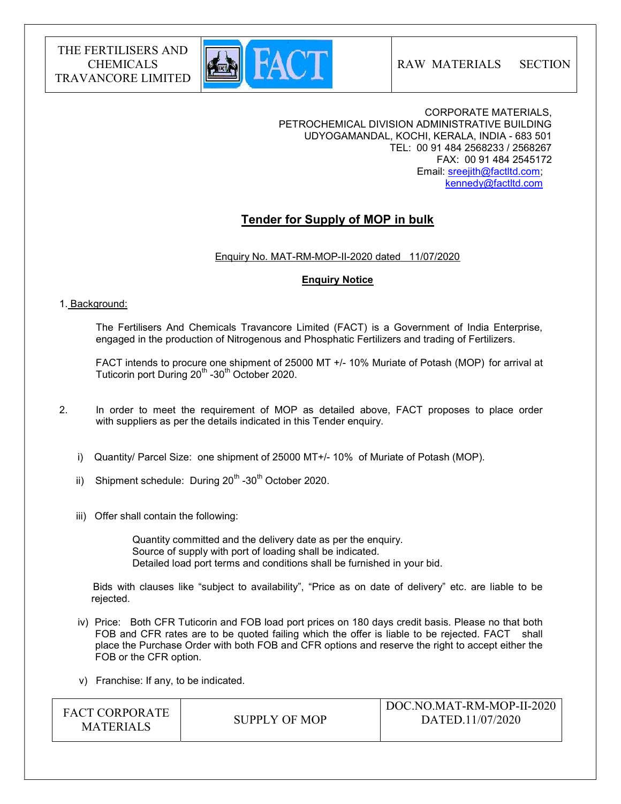

RAW MATERIALS SECTION

CORPORATE MATERIALS, PETROCHEMICAL DIVISION ADMINISTRATIVE BUILDING UDYOGAMANDAL, KOCHI, KERALA, INDIA - 683 501 TEL: 00 91 484 2568233 / 2568267 FAX: 00 91 484 2545172 Email: sreejith@factltd.com; kennedy@factltd.com

# Tender for Supply of MOP in bulk

Enquiry No. MAT-RM-MOP-II-2020 dated 11/07/2020

## Enquiry Notice

#### 1. Background:

 The Fertilisers And Chemicals Travancore Limited (FACT) is a Government of India Enterprise, engaged in the production of Nitrogenous and Phosphatic Fertilizers and trading of Fertilizers.

 FACT intends to procure one shipment of 25000 MT +/- 10% Muriate of Potash (MOP) for arrival at Tuticorin port During 20<sup>th</sup> -30<sup>th</sup> October 2020.

- 2. In order to meet the requirement of MOP as detailed above, FACT proposes to place order with suppliers as per the details indicated in this Tender enquiry.
	- i) Quantity/ Parcel Size: one shipment of 25000 MT+/- 10% of Muriate of Potash (MOP).
	- ii) Shipment schedule: During  $20^{th}$  -30<sup>th</sup> October 2020.
	- iii) Offer shall contain the following:

 Quantity committed and the delivery date as per the enquiry. Source of supply with port of loading shall be indicated. Detailed load port terms and conditions shall be furnished in your bid.

 Bids with clauses like "subject to availability", "Price as on date of delivery" etc. are liable to be rejected.

- iv) Price: Both CFR Tuticorin and FOB load port prices on 180 days credit basis. Please no that both FOB and CFR rates are to be quoted failing which the offer is liable to be rejected. FACT shall place the Purchase Order with both FOB and CFR options and reserve the right to accept either the FOB or the CFR option.
- v) Franchise: If any, to be indicated.

| FACT CORPORATE   | SUPPLY OF MOP | DOC.NO.MAT-RM-MOP-II-2020<br>DATED.11/07/2020 |
|------------------|---------------|-----------------------------------------------|
| <b>MATERIALS</b> |               |                                               |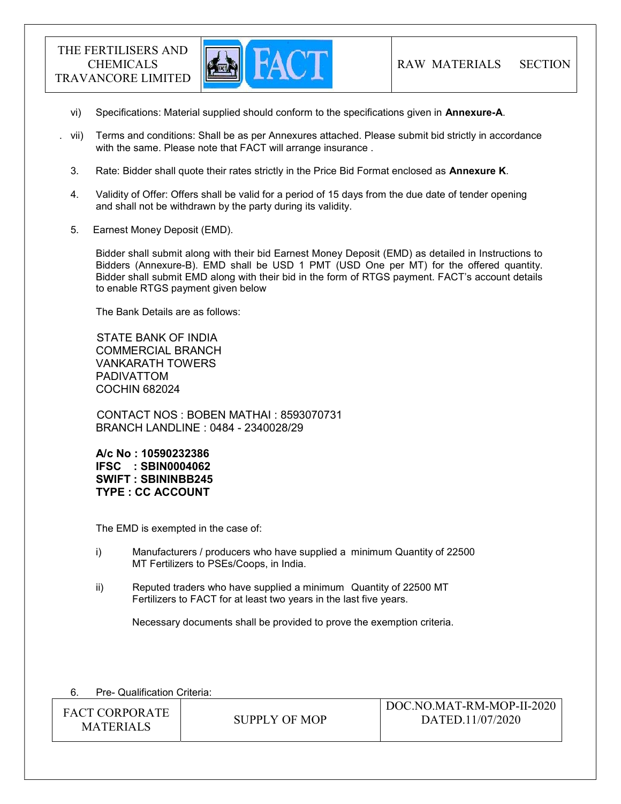

- vi) Specifications: Material supplied should conform to the specifications given in Annexure-A.
- . vii) Terms and conditions: Shall be as per Annexures attached. Please submit bid strictly in accordance with the same. Please note that FACT will arrange insurance .
	- 3. Rate: Bidder shall quote their rates strictly in the Price Bid Format enclosed as Annexure K.
	- 4. Validity of Offer: Offers shall be valid for a period of 15 days from the due date of tender opening and shall not be withdrawn by the party during its validity.
	- 5. Earnest Money Deposit (EMD).

Bidder shall submit along with their bid Earnest Money Deposit (EMD) as detailed in Instructions to Bidders (Annexure-B). EMD shall be USD 1 PMT (USD One per MT) for the offered quantity. Bidder shall submit EMD along with their bid in the form of RTGS payment. FACT's account details to enable RTGS payment given below

The Bank Details are as follows:

 STATE BANK OF INDIA COMMERCIAL BRANCH VANKARATH TOWERS PADIVATTOM COCHIN 682024

 CONTACT NOS : BOBEN MATHAI : 8593070731 BRANCH LANDLINE : 0484 - 2340028/29

A/c No : 10590232386 IFSC : SBIN0004062 SWIFT : SBININBB245 TYPE : CC ACCOUNT

The EMD is exempted in the case of:

- i) Manufacturers / producers who have supplied a minimum Quantity of 22500 MT Fertilizers to PSEs/Coops, in India.
- ii) Reputed traders who have supplied a minimum Quantity of 22500 MT Fertilizers to FACT for at least two years in the last five years.

Necessary documents shall be provided to prove the exemption criteria.

| Pre- Qualification Criteria: |  |
|------------------------------|--|
|------------------------------|--|

| <b>FACT CORPORATE</b><br><b>MATERIALS</b> | SUPPLY OF MOP | DOC.NO.MAT-RM-MOP-II-2020<br>DATED.11/07/2020 |
|-------------------------------------------|---------------|-----------------------------------------------|
|-------------------------------------------|---------------|-----------------------------------------------|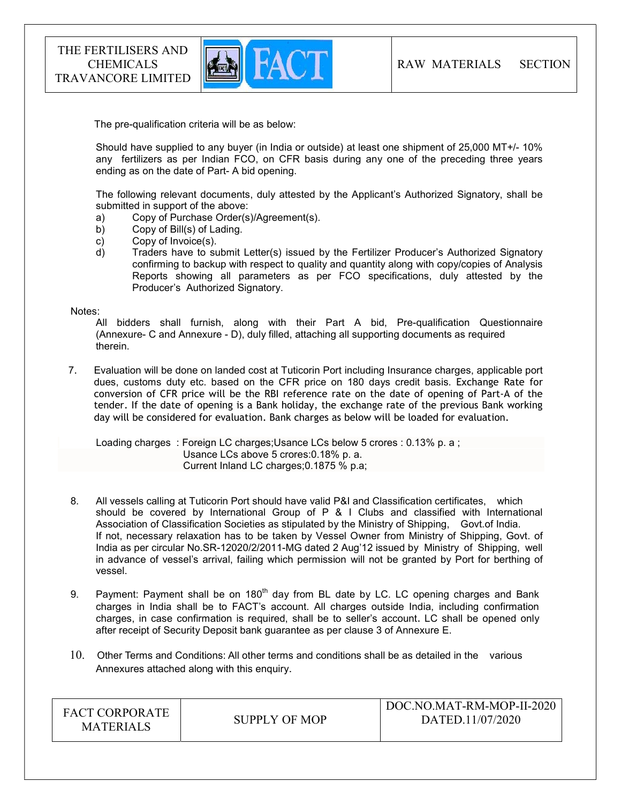

The pre-qualification criteria will be as below:

Should have supplied to any buyer (in India or outside) at least one shipment of 25,000 MT+/- 10% any fertilizers as per Indian FCO, on CFR basis during any one of the preceding three years ending as on the date of Part- A bid opening.

The following relevant documents, duly attested by the Applicant's Authorized Signatory, shall be submitted in support of the above:

- a) Copy of Purchase Order(s)/Agreement(s).
- b) Copy of Bill(s) of Lading.
- c) Copy of Invoice(s).
- d) Traders have to submit Letter(s) issued by the Fertilizer Producer's Authorized Signatory confirming to backup with respect to quality and quantity along with copy/copies of Analysis Reports showing all parameters as per FCO specifications, duly attested by the Producer's Authorized Signatory.

#### Notes:

 All bidders shall furnish, along with their Part A bid, Pre-qualification Questionnaire (Annexure- C and Annexure - D), duly filled, attaching all supporting documents as required therein.

7. Evaluation will be done on landed cost at Tuticorin Port including Insurance charges, applicable port dues, customs duty etc. based on the CFR price on 180 days credit basis. Exchange Rate for conversion of CFR price will be the RBI reference rate on the date of opening of Part-A of the tender. If the date of opening is a Bank holiday, the exchange rate of the previous Bank working day will be considered for evaluation. Bank charges as below will be loaded for evaluation.

Loading charges: Foreign LC charges: Usance LCs below 5 crores : 0.13% p. a : Usance LCs above 5 crores:0.18% p. a. Current Inland LC charges;0.1875 % p.a;

- 8. All vessels calling at Tuticorin Port should have valid P&I and Classification certificates, which should be covered by International Group of P & I Clubs and classified with International Association of Classification Societies as stipulated by the Ministry of Shipping, Govt.of India. If not, necessary relaxation has to be taken by Vessel Owner from Ministry of Shipping, Govt. of India as per circular No.SR-12020/2/2011-MG dated 2 Aug'12 issued by Ministry of Shipping, well in advance of vessel's arrival, failing which permission will not be granted by Port for berthing of vessel.
- 9. Payment: Payment shall be on 180<sup>th</sup> day from BL date by LC. LC opening charges and Bank charges in India shall be to FACT's account. All charges outside India, including confirmation charges, in case confirmation is required, shall be to seller's account. LC shall be opened only after receipt of Security Deposit bank guarantee as per clause 3 of Annexure E.
- 10. Other Terms and Conditions: All other terms and conditions shall be as detailed in the various Annexures attached along with this enquiry.

| <b>FACT CORPORATE</b><br><b>MATERIALS</b> | SUPPLY OF MOP | DOC.NO.MAT-RM-MOP-II-2020<br>DATED.11/07/2020 |
|-------------------------------------------|---------------|-----------------------------------------------|
|-------------------------------------------|---------------|-----------------------------------------------|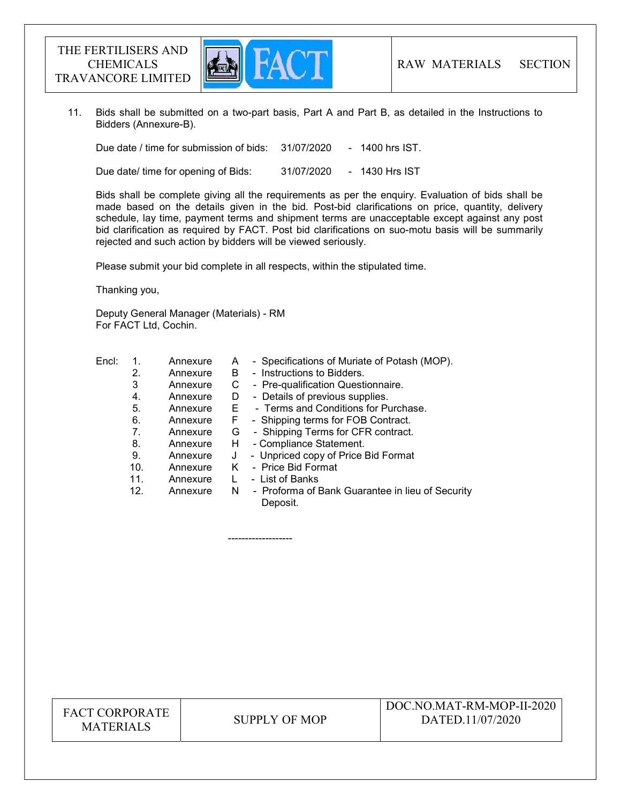

 11. Bids shall be submitted on a two-part basis, Part A and Part B, as detailed in the Instructions to Bidders (Annexure-B).

Due date / time for submission of bids: 31/07/2020 - 1400 hrs IST.

Due date/ time for opening of Bids: 31/07/2020 - 1430 Hrs IST

 Bids shall be complete giving all the requirements as per the enquiry. Evaluation of bids shall be made based on the details given in the bid. Post-bid clarifications on price, quantity, delivery schedule, lay time, payment terms and shipment terms are unacceptable except against any post bid clarification as required by FACT. Post bid clarifications on suo-motu basis will be summarily rejected and such action by bidders will be viewed seriously.

Please submit your bid complete in all respects, within the stipulated time.

Thanking you,

Deputy General Manager (Materials) - RM For FACT Ltd, Cochin.

-------------------

| Encl: |     | Annexure | A  | - Specifications of Muriate of Potash (MOP).                 |
|-------|-----|----------|----|--------------------------------------------------------------|
|       | 2.  | Annexure | B  | - Instructions to Bidders.                                   |
|       | 3   | Annexure | С  | - Pre-qualification Questionnaire.                           |
|       | 4.  | Annexure | D  | - Details of previous supplies.                              |
|       | 5.  | Annexure | E. | - Terms and Conditions for Purchase.                         |
|       | 6.  | Annexure | F  | - Shipping terms for FOB Contract.                           |
|       | 7.  | Annexure | G  | - Shipping Terms for CFR contract.                           |
|       | 8.  | Annexure | H. | - Compliance Statement.                                      |
|       | 9.  | Annexure | J  | - Unpriced copy of Price Bid Format                          |
|       | 10. | Annexure | K. | - Price Bid Format                                           |
|       | 11. | Annexure |    | - List of Banks                                              |
|       | 12. | Annexure | N. | - Proforma of Bank Guarantee in lieu of Security<br>Deposit. |

FACT CORPORATE ET CONFONATE SUPPLY OF MOP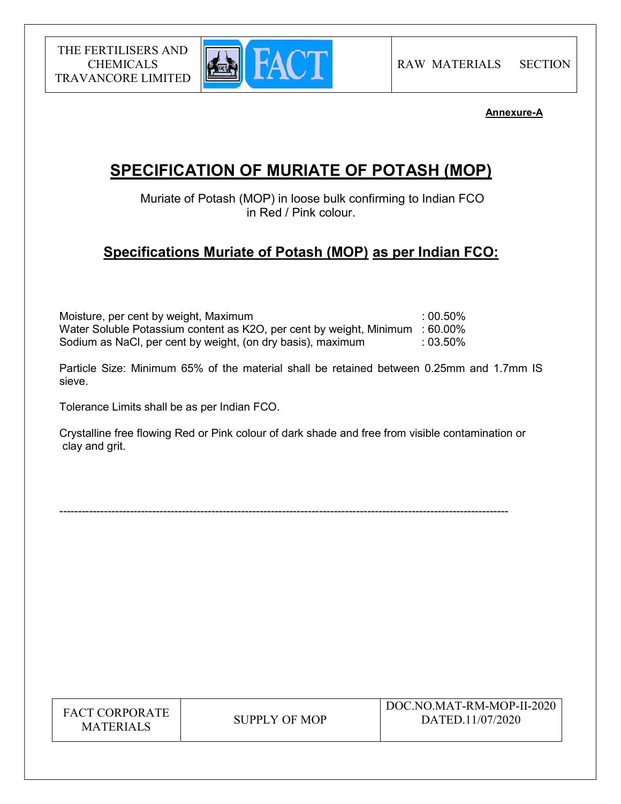

# Annexure-A

# SPECIFICATION OF MURIATE OF POTASH (MOP)

 Muriate of Potash (MOP) in loose bulk confirming to Indian FCO in Red / Pink colour.

# Specifications Muriate of Potash (MOP) as per Indian FCO:

| Moisture, per cent by weight, Maximum                                        | $:00.50\%$ |
|------------------------------------------------------------------------------|------------|
| Water Soluble Potassium content as K2O, per cent by weight, Minimum : 60.00% |            |
| Sodium as NaCl, per cent by weight, (on dry basis), maximum                  | $:03.50\%$ |

Particle Size: Minimum 65% of the material shall be retained between 0.25mm and 1.7mm IS sieve.

Tolerance Limits shall be as per Indian FCO.

Crystalline free flowing Red or Pink colour of dark shade and free from visible contamination or clay and grit.

-------------------------------------------------------------------------------------------------------------------------

| <b>FACT CORPORATE</b> |
|-----------------------|
| <b>MATERIALS</b>      |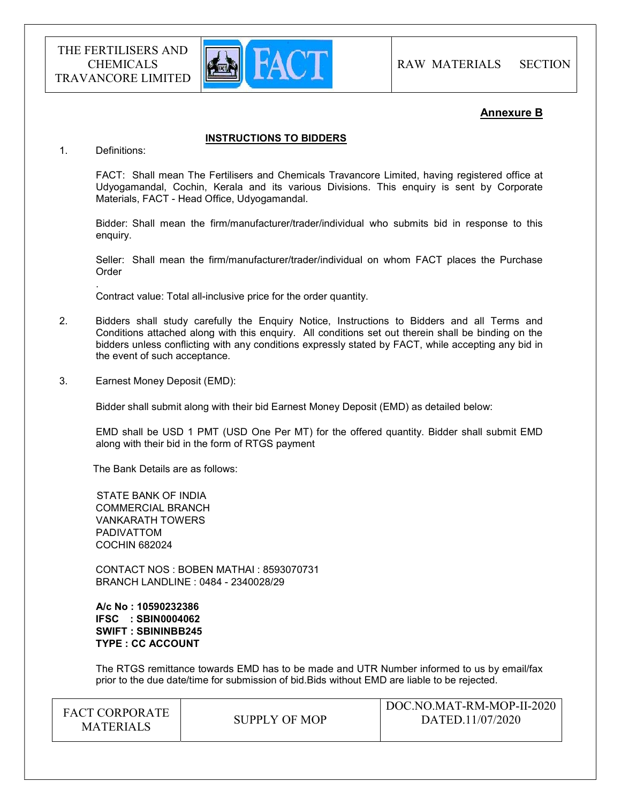

### Annexure B

#### INSTRUCTIONS TO BIDDERS

1. Definitions:

.

FACT: Shall mean The Fertilisers and Chemicals Travancore Limited, having registered office at Udyogamandal, Cochin, Kerala and its various Divisions. This enquiry is sent by Corporate Materials, FACT - Head Office, Udyogamandal.

Bidder: Shall mean the firm/manufacturer/trader/individual who submits bid in response to this enquiry.

Seller: Shall mean the firm/manufacturer/trader/individual on whom FACT places the Purchase Order

Contract value: Total all-inclusive price for the order quantity.

- 2. Bidders shall study carefully the Enquiry Notice, Instructions to Bidders and all Terms and Conditions attached along with this enquiry. All conditions set out therein shall be binding on the bidders unless conflicting with any conditions expressly stated by FACT, while accepting any bid in the event of such acceptance.
- 3. Earnest Money Deposit (EMD):

Bidder shall submit along with their bid Earnest Money Deposit (EMD) as detailed below:

EMD shall be USD 1 PMT (USD One Per MT) for the offered quantity. Bidder shall submit EMD along with their bid in the form of RTGS payment

The Bank Details are as follows:

 STATE BANK OF INDIA COMMERCIAL BRANCH VANKARATH TOWERS PADIVATTOM COCHIN 682024

 CONTACT NOS : BOBEN MATHAI : 8593070731 BRANCH LANDLINE : 0484 - 2340028/29

 A/c No : 10590232386 IFSC : SBIN0004062 SWIFT : SBININBB245 TYPE : CC ACCOUNT

The RTGS remittance towards EMD has to be made and UTR Number informed to us by email/fax prior to the due date/time for submission of bid.Bids without EMD are liable to be rejected.

| <b>FACT CORPORATE</b><br><b>MATERIALS</b> | SUPPLY OF MOP | DOC.NO.MAT-RM-MOP-II-2020<br>DATED.11/07/2020 |  |
|-------------------------------------------|---------------|-----------------------------------------------|--|
|-------------------------------------------|---------------|-----------------------------------------------|--|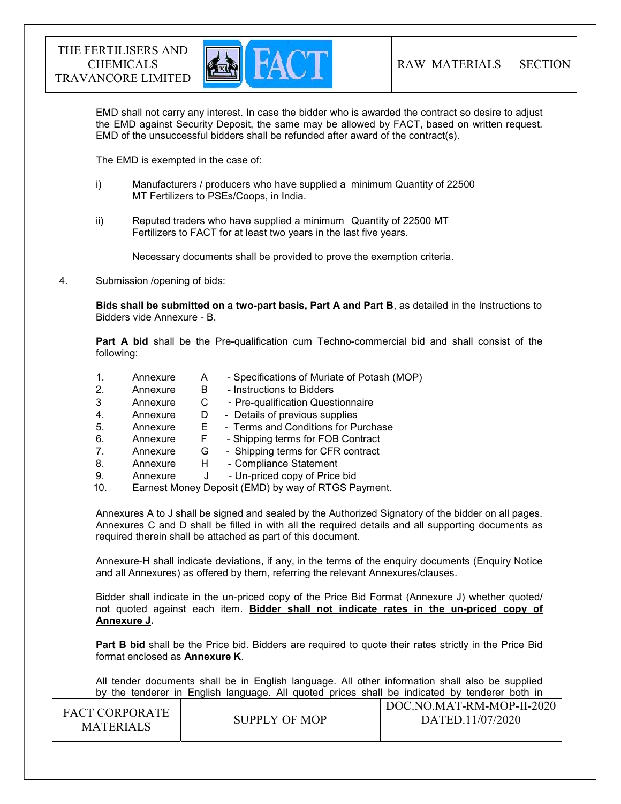

EMD shall not carry any interest. In case the bidder who is awarded the contract so desire to adjust the EMD against Security Deposit, the same may be allowed by FACT, based on written request. EMD of the unsuccessful bidders shall be refunded after award of the contract(s).

The EMD is exempted in the case of:

- i) Manufacturers / producers who have supplied a minimum Quantity of 22500 MT Fertilizers to PSEs/Coops, in India.
- ii) Reputed traders who have supplied a minimum Quantity of 22500 MT Fertilizers to FACT for at least two years in the last five years.

Necessary documents shall be provided to prove the exemption criteria.

4. Submission /opening of bids:

Bids shall be submitted on a two-part basis, Part A and Part B, as detailed in the Instructions to Bidders vide Annexure - B.

Part A bid shall be the Pre-qualification cum Techno-commercial bid and shall consist of the following:

- 1. Annexure A Specifications of Muriate of Potash (MOP) 2. Annexure B - Instructions to Bidders
- 3 Annexure C Pre-qualification Questionnaire
- 4. Annexure D Details of previous supplies
- 5. Annexure E Terms and Conditions for Purchase
- 6. Annexure F Shipping terms for FOB Contract
- 7. Annexure G Shipping terms for CFR contract
- 8. Annexure H Compliance Statement
- 9. Annexure J Un-priced copy of Price bid
- 10. Earnest Money Deposit (EMD) by way of RTGS Payment.

Annexures A to J shall be signed and sealed by the Authorized Signatory of the bidder on all pages. Annexures C and D shall be filled in with all the required details and all supporting documents as required therein shall be attached as part of this document.

Annexure-H shall indicate deviations, if any, in the terms of the enquiry documents (Enquiry Notice and all Annexures) as offered by them, referring the relevant Annexures/clauses.

Bidder shall indicate in the un-priced copy of the Price Bid Format (Annexure J) whether quoted/ not quoted against each item. Bidder shall not indicate rates in the un-priced copy of Annexure J.

**Part B bid** shall be the Price bid. Bidders are required to quote their rates strictly in the Price Bid format enclosed as Annexure K.

 All tender documents shall be in English language. All other information shall also be supplied by the tenderer in English language. All quoted prices shall be indicated by tenderer both in

| <b>FACT CORPORATE</b><br><b>MATERIALS</b> | SUPPLY OF MOP | DOC.NO.MAT-RM-MOP-II-2020<br>DATED.11/07/2020 |
|-------------------------------------------|---------------|-----------------------------------------------|
|                                           |               |                                               |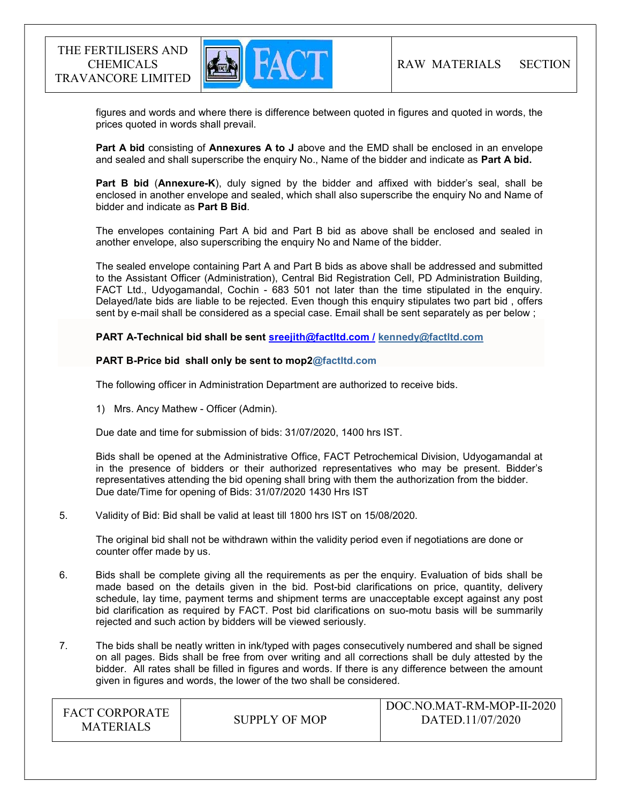

 figures and words and where there is difference between quoted in figures and quoted in words, the prices quoted in words shall prevail.

Part A bid consisting of Annexures A to J above and the EMD shall be enclosed in an envelope and sealed and shall superscribe the enquiry No., Name of the bidder and indicate as Part A bid.

Part B bid (Annexure-K), duly signed by the bidder and affixed with bidder's seal, shall be enclosed in another envelope and sealed, which shall also superscribe the enquiry No and Name of bidder and indicate as Part B Bid.

The envelopes containing Part A bid and Part B bid as above shall be enclosed and sealed in another envelope, also superscribing the enquiry No and Name of the bidder.

The sealed envelope containing Part A and Part B bids as above shall be addressed and submitted to the Assistant Officer (Administration), Central Bid Registration Cell, PD Administration Building, FACT Ltd., Udyogamandal, Cochin - 683 501 not later than the time stipulated in the enquiry. Delayed/late bids are liable to be rejected. Even though this enquiry stipulates two part bid , offers sent by e-mail shall be considered as a special case. Email shall be sent separately as per below ;

PART A-Technical bid shall be sent sreejith@factltd.com / kennedy@factltd.com

#### PART B-Price bid shall only be sent to mop2@factltd.com

The following officer in Administration Department are authorized to receive bids.

1) Mrs. Ancy Mathew - Officer (Admin).

Due date and time for submission of bids: 31/07/2020, 1400 hrs IST.

Bids shall be opened at the Administrative Office, FACT Petrochemical Division, Udyogamandal at in the presence of bidders or their authorized representatives who may be present. Bidder's representatives attending the bid opening shall bring with them the authorization from the bidder. Due date/Time for opening of Bids: 31/07/2020 1430 Hrs IST

#### 5. Validity of Bid: Bid shall be valid at least till 1800 hrs IST on 15/08/2020.

The original bid shall not be withdrawn within the validity period even if negotiations are done or counter offer made by us.

- 6. Bids shall be complete giving all the requirements as per the enquiry. Evaluation of bids shall be made based on the details given in the bid. Post-bid clarifications on price, quantity, delivery schedule, lay time, payment terms and shipment terms are unacceptable except against any post bid clarification as required by FACT. Post bid clarifications on suo-motu basis will be summarily rejected and such action by bidders will be viewed seriously.
- 7. The bids shall be neatly written in ink/typed with pages consecutively numbered and shall be signed on all pages. Bids shall be free from over writing and all corrections shall be duly attested by the bidder. All rates shall be filled in figures and words. If there is any difference between the amount given in figures and words, the lower of the two shall be considered.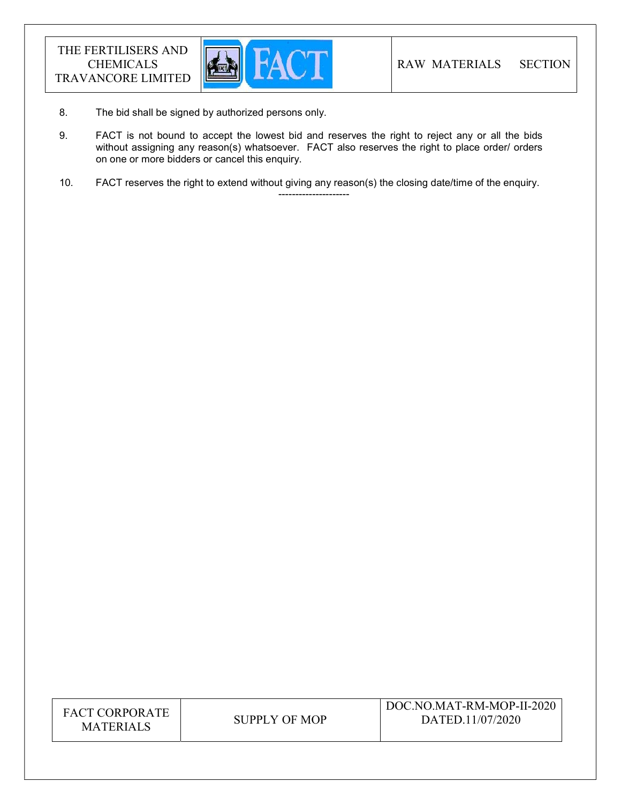

8. The bid shall be signed by authorized persons only.

---------------------

- 9. FACT is not bound to accept the lowest bid and reserves the right to reject any or all the bids without assigning any reason(s) whatsoever. FACT also reserves the right to place order/ orders on one or more bidders or cancel this enquiry.
- 10. FACT reserves the right to extend without giving any reason(s) the closing date/time of the enquiry.

| <b>FACT CORPORATE</b> |
|-----------------------|
| <b>MATERIALS</b>      |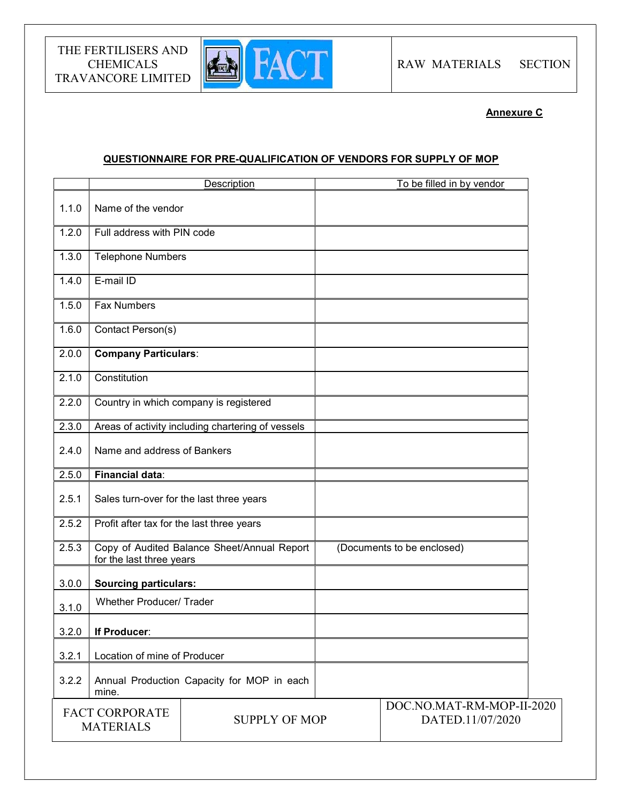

Annexure C

# QUESTIONNAIRE FOR PRE-QUALIFICATION OF VENDORS FOR SUPPLY OF MOP

| Name of the vendor                        |  |                                                                                                                                                                                                                                                                                                                                                                                  |                                               |                            |
|-------------------------------------------|--|----------------------------------------------------------------------------------------------------------------------------------------------------------------------------------------------------------------------------------------------------------------------------------------------------------------------------------------------------------------------------------|-----------------------------------------------|----------------------------|
|                                           |  |                                                                                                                                                                                                                                                                                                                                                                                  |                                               |                            |
|                                           |  |                                                                                                                                                                                                                                                                                                                                                                                  |                                               |                            |
|                                           |  |                                                                                                                                                                                                                                                                                                                                                                                  |                                               |                            |
| E-mail ID                                 |  |                                                                                                                                                                                                                                                                                                                                                                                  |                                               |                            |
| <b>Fax Numbers</b>                        |  |                                                                                                                                                                                                                                                                                                                                                                                  |                                               |                            |
| Contact Person(s)                         |  |                                                                                                                                                                                                                                                                                                                                                                                  |                                               |                            |
|                                           |  |                                                                                                                                                                                                                                                                                                                                                                                  |                                               |                            |
| Constitution                              |  |                                                                                                                                                                                                                                                                                                                                                                                  |                                               |                            |
|                                           |  |                                                                                                                                                                                                                                                                                                                                                                                  |                                               |                            |
|                                           |  |                                                                                                                                                                                                                                                                                                                                                                                  |                                               |                            |
|                                           |  |                                                                                                                                                                                                                                                                                                                                                                                  |                                               |                            |
| <b>Financial data:</b>                    |  |                                                                                                                                                                                                                                                                                                                                                                                  |                                               |                            |
| Sales turn-over for the last three years  |  |                                                                                                                                                                                                                                                                                                                                                                                  |                                               |                            |
| Profit after tax for the last three years |  |                                                                                                                                                                                                                                                                                                                                                                                  |                                               |                            |
| for the last three years                  |  |                                                                                                                                                                                                                                                                                                                                                                                  |                                               |                            |
|                                           |  |                                                                                                                                                                                                                                                                                                                                                                                  |                                               |                            |
| <b>Whether Producer/ Trader</b>           |  |                                                                                                                                                                                                                                                                                                                                                                                  |                                               |                            |
| If Producer:                              |  |                                                                                                                                                                                                                                                                                                                                                                                  |                                               |                            |
|                                           |  |                                                                                                                                                                                                                                                                                                                                                                                  |                                               |                            |
| mine.                                     |  |                                                                                                                                                                                                                                                                                                                                                                                  |                                               |                            |
| <b>FACT CORPORATE</b><br><b>MATERIALS</b> |  |                                                                                                                                                                                                                                                                                                                                                                                  | DOC.NO.MAT-RM-MOP-II-2020<br>DATED.11/07/2020 |                            |
|                                           |  | Full address with PIN code<br><b>Telephone Numbers</b><br><b>Company Particulars:</b><br>Country in which company is registered<br>Areas of activity including chartering of vessels<br>Name and address of Bankers<br>Copy of Audited Balance Sheet/Annual Report<br><b>Sourcing particulars:</b><br>Location of mine of Producer<br>Annual Production Capacity for MOP in each | <b>SUPPLY OF MOP</b>                          | (Documents to be enclosed) |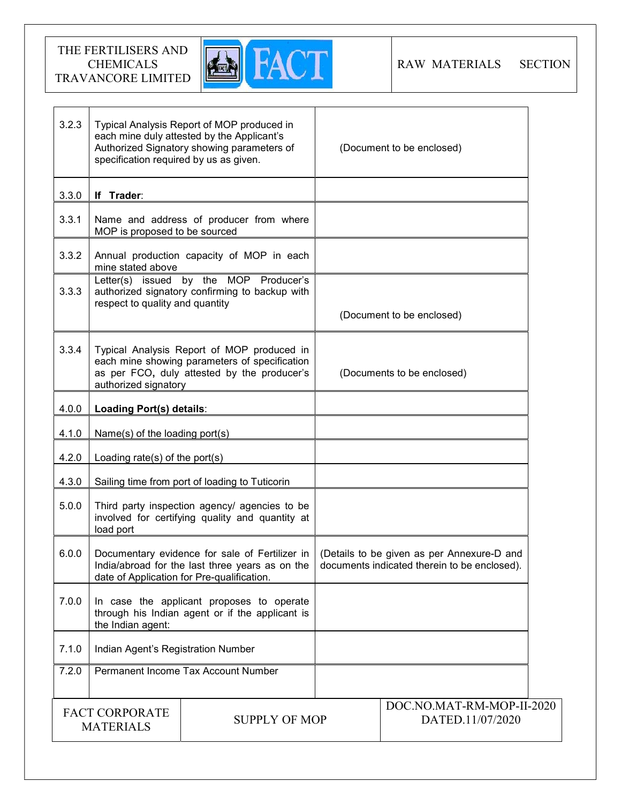

| 3.2.3                                                             | specification required by us as given.                                                                                                          | Typical Analysis Report of MOP produced in<br>each mine duly attested by the Applicant's<br>Authorized Signatory showing parameters of     | (Document to be enclosed)                                                                  |  |
|-------------------------------------------------------------------|-------------------------------------------------------------------------------------------------------------------------------------------------|--------------------------------------------------------------------------------------------------------------------------------------------|--------------------------------------------------------------------------------------------|--|
| 3.3.0                                                             | If Trader:                                                                                                                                      |                                                                                                                                            |                                                                                            |  |
| 3.3.1                                                             | MOP is proposed to be sourced                                                                                                                   | Name and address of producer from where                                                                                                    |                                                                                            |  |
| 3.3.2                                                             | mine stated above                                                                                                                               | Annual production capacity of MOP in each                                                                                                  |                                                                                            |  |
| 3.3.3                                                             | respect to quality and quantity                                                                                                                 | Letter(s) issued by the MOP Producer's<br>authorized signatory confirming to backup with                                                   | (Document to be enclosed)                                                                  |  |
|                                                                   |                                                                                                                                                 |                                                                                                                                            |                                                                                            |  |
| 3.3.4                                                             | authorized signatory                                                                                                                            | Typical Analysis Report of MOP produced in<br>each mine showing parameters of specification<br>as per FCO, duly attested by the producer's | (Documents to be enclosed)                                                                 |  |
| 4.0.0                                                             | Loading Port(s) details:                                                                                                                        |                                                                                                                                            |                                                                                            |  |
| 4.1.0                                                             | Name(s) of the loading port(s)                                                                                                                  |                                                                                                                                            |                                                                                            |  |
| 4.2.0                                                             | Loading rate(s) of the port(s)                                                                                                                  |                                                                                                                                            |                                                                                            |  |
| 4.3.0                                                             |                                                                                                                                                 | Sailing time from port of loading to Tuticorin                                                                                             |                                                                                            |  |
| 5.0.0                                                             | load port                                                                                                                                       | Third party inspection agency/ agencies to be<br>involved for certifying quality and quantity at                                           |                                                                                            |  |
| 6.0.0                                                             | Documentary evidence for sale of Fertilizer in<br>India/abroad for the last three years as on the<br>date of Application for Pre-qualification. |                                                                                                                                            | (Details to be given as per Annexure-D and<br>documents indicated therein to be enclosed). |  |
| 7.0.0                                                             | the Indian agent:                                                                                                                               | In case the applicant proposes to operate<br>through his Indian agent or if the applicant is                                               |                                                                                            |  |
| 7.1.0                                                             | Indian Agent's Registration Number                                                                                                              |                                                                                                                                            |                                                                                            |  |
| 7.2.0                                                             | Permanent Income Tax Account Number                                                                                                             |                                                                                                                                            |                                                                                            |  |
| <b>FACT CORPORATE</b><br><b>SUPPLY OF MOP</b><br><b>MATERIALS</b> |                                                                                                                                                 | DOC.NO.MAT-RM-MOP-II-2020<br>DATED.11/07/2020                                                                                              |                                                                                            |  |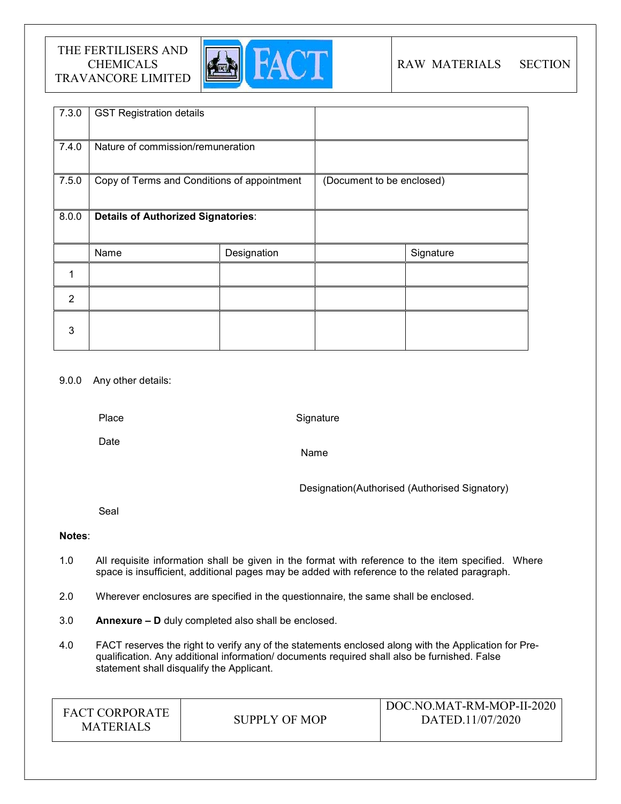

# RAW MATERIALS SECTION

| 7.3.0          | <b>GST Registration details</b>             |             |                           |           |
|----------------|---------------------------------------------|-------------|---------------------------|-----------|
| 7.4.0          | Nature of commission/remuneration           |             |                           |           |
| 7.5.0          | Copy of Terms and Conditions of appointment |             | (Document to be enclosed) |           |
| 8.0.0          | <b>Details of Authorized Signatories:</b>   |             |                           |           |
|                | Name                                        | Designation |                           | Signature |
|                |                                             |             |                           |           |
| $\overline{2}$ |                                             |             |                           |           |
| 3              |                                             |             |                           |           |

## 9.0.0 Any other details:

Place

**Signature** 

Date

Name

Designation(Authorised (Authorised Signatory)

Seal

## Notes:

- 1.0 All requisite information shall be given in the format with reference to the item specified. Where space is insufficient, additional pages may be added with reference to the related paragraph.
- 2.0 Wherever enclosures are specified in the questionnaire, the same shall be enclosed.
- 3.0 Annexure D duly completed also shall be enclosed.
- 4.0 FACT reserves the right to verify any of the statements enclosed along with the Application for Prequalification. Any additional information/ documents required shall also be furnished. False statement shall disqualify the Applicant.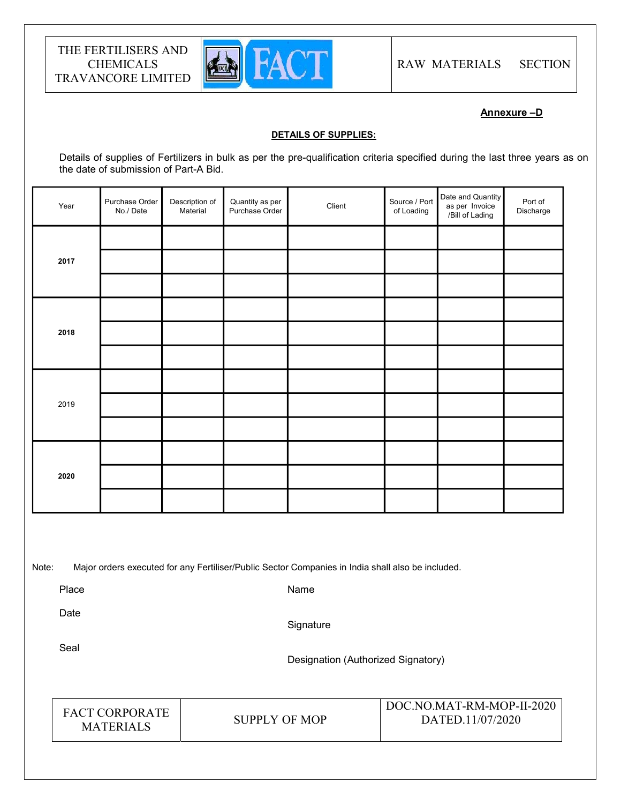

Annexure –D

#### DETAILS OF SUPPLIES:

Details of supplies of Fertilizers in bulk as per the pre-qualification criteria specified during the last three years as on the date of submission of Part-A Bid.

| Year | Purchase Order<br>No./Date | Description of<br>Material | Quantity as per<br>Purchase Order | Client | Source / Port<br>of Loading | Date and Quantity<br>as per Invoice<br>/Bill of Lading | Port of<br>Discharge |  |
|------|----------------------------|----------------------------|-----------------------------------|--------|-----------------------------|--------------------------------------------------------|----------------------|--|
|      |                            |                            |                                   |        |                             |                                                        |                      |  |
| 2017 |                            |                            |                                   |        |                             |                                                        |                      |  |
|      |                            |                            |                                   |        |                             |                                                        |                      |  |
|      |                            |                            |                                   |        |                             |                                                        |                      |  |
| 2018 |                            |                            |                                   |        |                             |                                                        |                      |  |
|      |                            |                            |                                   |        |                             |                                                        |                      |  |
|      |                            |                            |                                   |        |                             |                                                        |                      |  |
| 2019 |                            |                            |                                   |        |                             |                                                        |                      |  |
|      |                            |                            |                                   |        |                             |                                                        |                      |  |
| 2020 |                            |                            |                                   |        |                             |                                                        |                      |  |
|      |                            |                            |                                   |        |                             |                                                        |                      |  |
|      |                            |                            |                                   |        |                             |                                                        |                      |  |
|      |                            |                            |                                   |        |                             |                                                        |                      |  |

Note: Major orders executed for any Fertiliser/Public Sector Companies in India shall also be included.

Place

Name

Date

**Signature** 

Seal

Designation (Authorized Signatory)

| <b>FACT CORPORATE</b><br><b>MATERIALS</b> | SUPPLY OF MOP | DOC.NO.MAT-RM-MOP-II-2020<br>DATED.11/07/2020 |
|-------------------------------------------|---------------|-----------------------------------------------|
|-------------------------------------------|---------------|-----------------------------------------------|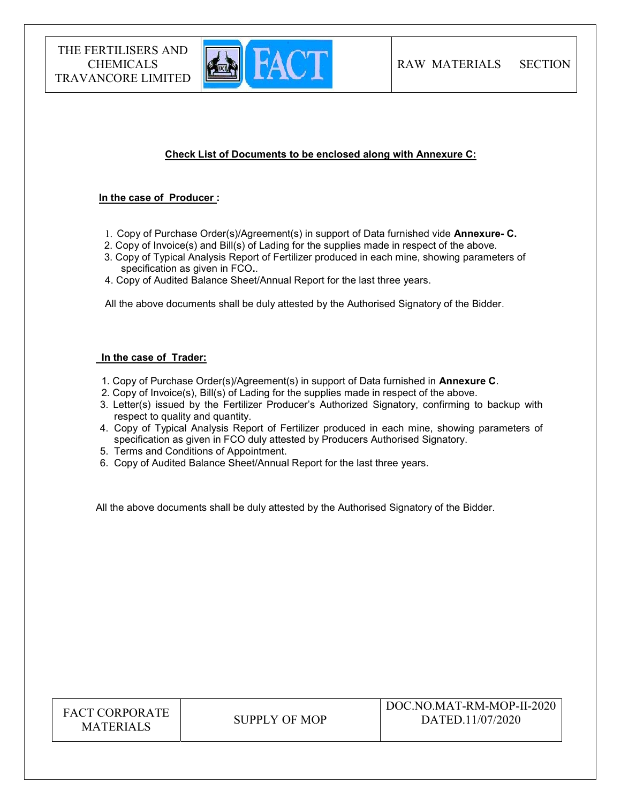

## Check List of Documents to be enclosed along with Annexure C:

#### In the case of Producer :

- 1. Copy of Purchase Order(s)/Agreement(s) in support of Data furnished vide Annexure- C.
- 2. Copy of Invoice(s) and Bill(s) of Lading for the supplies made in respect of the above.
- 3. Copy of Typical Analysis Report of Fertilizer produced in each mine, showing parameters of specification as given in FCO..
- 4. Copy of Audited Balance Sheet/Annual Report for the last three years.

All the above documents shall be duly attested by the Authorised Signatory of the Bidder.

#### In the case of Trader:

- 1. Copy of Purchase Order(s)/Agreement(s) in support of Data furnished in Annexure C.
- 2. Copy of Invoice(s), Bill(s) of Lading for the supplies made in respect of the above.
- 3. Letter(s) issued by the Fertilizer Producer's Authorized Signatory, confirming to backup with respect to quality and quantity.
- 4. Copy of Typical Analysis Report of Fertilizer produced in each mine, showing parameters of specification as given in FCO duly attested by Producers Authorised Signatory.
- 5. Terms and Conditions of Appointment.
- 6. Copy of Audited Balance Sheet/Annual Report for the last three years.

All the above documents shall be duly attested by the Authorised Signatory of the Bidder.

| <b>FACT CORPORATE</b><br><b>MATERIALS</b> | SUPPLY OF MOP | DOC.NO.MAT-RM-MOP-II-2020<br>DATED.11/07/2020 |
|-------------------------------------------|---------------|-----------------------------------------------|
|-------------------------------------------|---------------|-----------------------------------------------|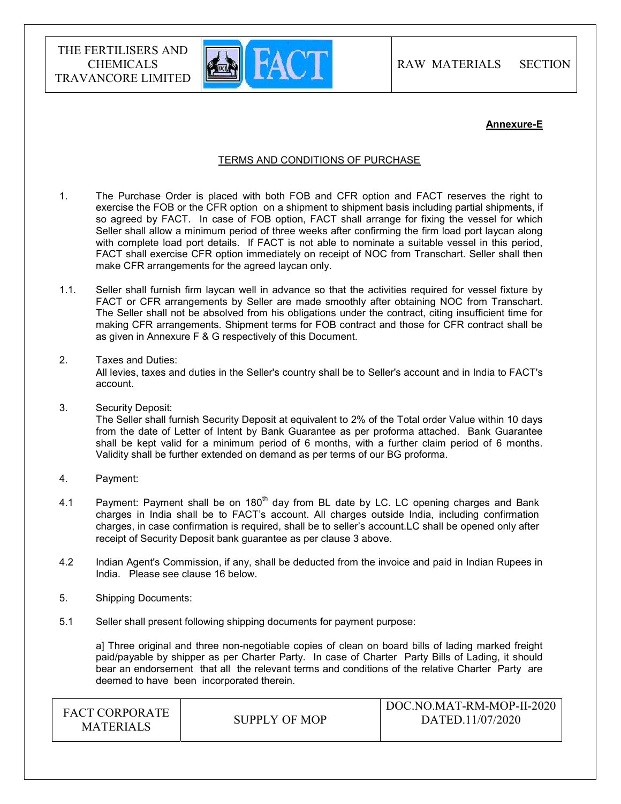

RAW MATERIALS SECTION

#### Annexure-E

#### TERMS AND CONDITIONS OF PURCHASE

- 1. The Purchase Order is placed with both FOB and CFR option and FACT reserves the right to exercise the FOB or the CFR option on a shipment to shipment basis including partial shipments, if so agreed by FACT. In case of FOB option, FACT shall arrange for fixing the vessel for which Seller shall allow a minimum period of three weeks after confirming the firm load port laycan along with complete load port details. If FACT is not able to nominate a suitable vessel in this period, FACT shall exercise CFR option immediately on receipt of NOC from Transchart. Seller shall then make CFR arrangements for the agreed laycan only.
- 1.1. Seller shall furnish firm laycan well in advance so that the activities required for vessel fixture by FACT or CFR arrangements by Seller are made smoothly after obtaining NOC from Transchart. The Seller shall not be absolved from his obligations under the contract, citing insufficient time for making CFR arrangements. Shipment terms for FOB contract and those for CFR contract shall be as given in Annexure F & G respectively of this Document.
- 2. Taxes and Duties:

All levies, taxes and duties in the Seller's country shall be to Seller's account and in India to FACT's account.

3. Security Deposit:

The Seller shall furnish Security Deposit at equivalent to 2% of the Total order Value within 10 days from the date of Letter of Intent by Bank Guarantee as per proforma attached. Bank Guarantee shall be kept valid for a minimum period of 6 months, with a further claim period of 6 months. Validity shall be further extended on demand as per terms of our BG proforma.

- 4. Payment:
- 4.1 Payment: Payment shall be on  $180<sup>th</sup>$  day from BL date by LC. LC opening charges and Bank charges in India shall be to FACT's account. All charges outside India, including confirmation charges, in case confirmation is required, shall be to seller's account.LC shall be opened only after receipt of Security Deposit bank guarantee as per clause 3 above.
- 4.2 Indian Agent's Commission, if any, shall be deducted from the invoice and paid in Indian Rupees in India. Please see clause 16 below.
- 5. Shipping Documents:
- 5.1 Seller shall present following shipping documents for payment purpose:

a] Three original and three non-negotiable copies of clean on board bills of lading marked freight paid/payable by shipper as per Charter Party. In case of Charter Party Bills of Lading, it should bear an endorsement that all the relevant terms and conditions of the relative Charter Party are deemed to have been incorporated therein.

| <b>FACT CORPORATE</b> |               | DOC.NO.MAT-RM-MOP-II-2020 |
|-----------------------|---------------|---------------------------|
| <b>MATERIALS</b>      | SUPPLY OF MOP | DATED.11/07/2020          |
|                       |               |                           |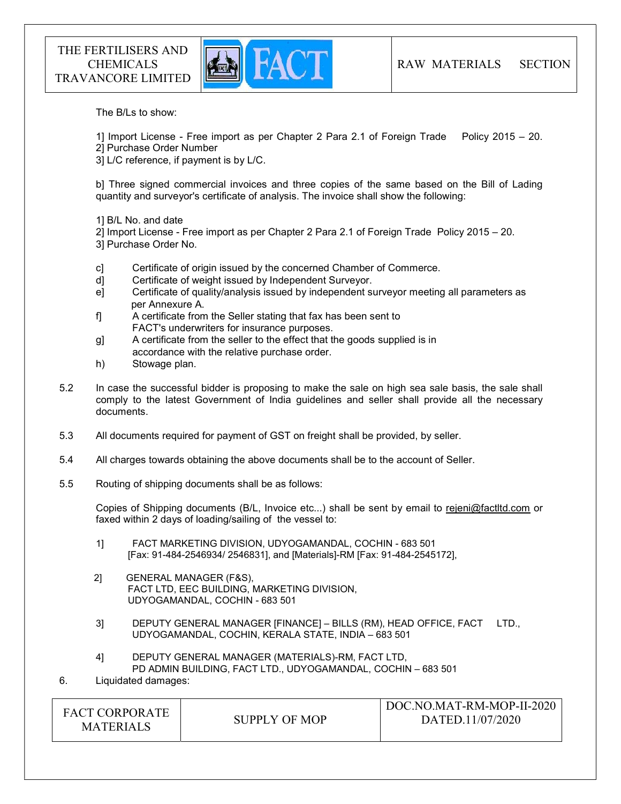

The B/Ls to show:

1] Import License - Free import as per Chapter 2 Para 2.1 of Foreign Trade Policy 2015 – 20.

2] Purchase Order Number

3] L/C reference, if payment is by L/C.

b] Three signed commercial invoices and three copies of the same based on the Bill of Lading quantity and surveyor's certificate of analysis. The invoice shall show the following:

1] B/L No. and date

2] Import License - Free import as per Chapter 2 Para 2.1 of Foreign Trade Policy 2015 – 20. 3] Purchase Order No.

- c] Certificate of origin issued by the concerned Chamber of Commerce.
- d] Certificate of weight issued by Independent Surveyor.
- e] Certificate of quality/analysis issued by independent surveyor meeting all parameters as per Annexure A.
- f] A certificate from the Seller stating that fax has been sent to FACT's underwriters for insurance purposes.
- g] A certificate from the seller to the effect that the goods supplied is in accordance with the relative purchase order.
- h) Stowage plan.
- 5.2 In case the successful bidder is proposing to make the sale on high sea sale basis, the sale shall comply to the latest Government of India guidelines and seller shall provide all the necessary documents.
- 5.3 All documents required for payment of GST on freight shall be provided, by seller.
- 5.4 All charges towards obtaining the above documents shall be to the account of Seller.
- 5.5 Routing of shipping documents shall be as follows:

Copies of Shipping documents (B/L, Invoice etc...) shall be sent by email to rejeni@factltd.com or faxed within 2 days of loading/sailing of the vessel to:

- 1] FACT MARKETING DIVISION, UDYOGAMANDAL, COCHIN 683 501 [Fax: 91-484-2546934/ 2546831], and [Materials]-RM [Fax: 91-484-2545172],
- 2] GENERAL MANAGER (F&S), FACT LTD, EEC BUILDING, MARKETING DIVISION, UDYOGAMANDAL, COCHIN - 683 501
- 3] DEPUTY GENERAL MANAGER [FINANCE] BILLS (RM), HEAD OFFICE, FACT LTD., UDYOGAMANDAL, COCHIN, KERALA STATE, INDIA – 683 501
- 4] DEPUTY GENERAL MANAGER (MATERIALS)-RM, FACT LTD, PD ADMIN BUILDING, FACT LTD., UDYOGAMANDAL, COCHIN – 683 501
- 6. Liquidated damages:

| <b>FACT CORPORATE</b><br><b>MATERIALS</b> | <b>SUPPLY OF MOP</b> | DOC.NO.MAT-RM-MOP-II-2020<br>DATED.11/07/2020 |
|-------------------------------------------|----------------------|-----------------------------------------------|
|-------------------------------------------|----------------------|-----------------------------------------------|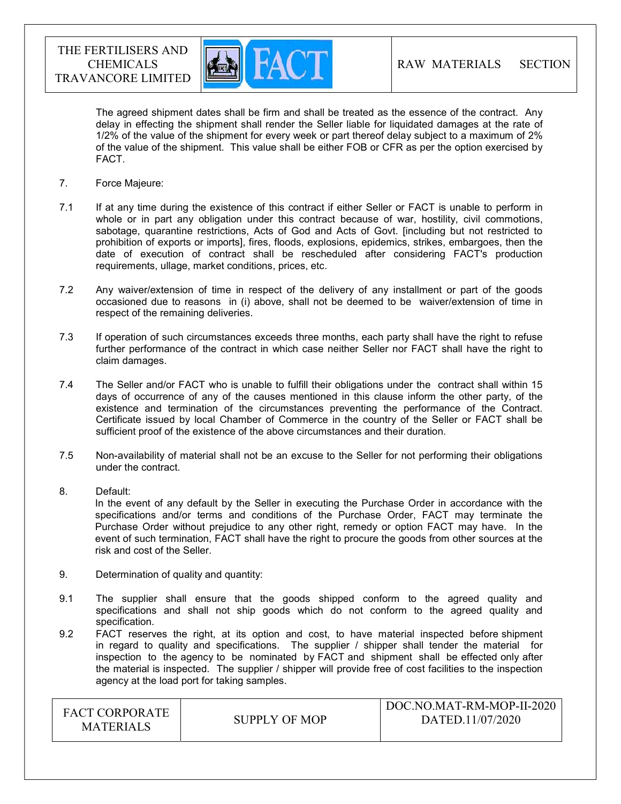

The agreed shipment dates shall be firm and shall be treated as the essence of the contract. Any delay in effecting the shipment shall render the Seller liable for liquidated damages at the rate of 1/2% of the value of the shipment for every week or part thereof delay subject to a maximum of 2% of the value of the shipment. This value shall be either FOB or CFR as per the option exercised by FACT.

- 7. Force Majeure:
- 7.1 If at any time during the existence of this contract if either Seller or FACT is unable to perform in whole or in part any obligation under this contract because of war, hostility, civil commotions, sabotage, quarantine restrictions, Acts of God and Acts of Govt. [including but not restricted to prohibition of exports or imports], fires, floods, explosions, epidemics, strikes, embargoes, then the date of execution of contract shall be rescheduled after considering FACT's production requirements, ullage, market conditions, prices, etc.
- 7.2 Any waiver/extension of time in respect of the delivery of any installment or part of the goods occasioned due to reasons in (i) above, shall not be deemed to be waiver/extension of time in respect of the remaining deliveries.
- 7.3 If operation of such circumstances exceeds three months, each party shall have the right to refuse further performance of the contract in which case neither Seller nor FACT shall have the right to claim damages.
- 7.4 The Seller and/or FACT who is unable to fulfill their obligations under the contract shall within 15 days of occurrence of any of the causes mentioned in this clause inform the other party, of the existence and termination of the circumstances preventing the performance of the Contract. Certificate issued by local Chamber of Commerce in the country of the Seller or FACT shall be sufficient proof of the existence of the above circumstances and their duration.
- 7.5 Non-availability of material shall not be an excuse to the Seller for not performing their obligations under the contract.
- 8. Default:

In the event of any default by the Seller in executing the Purchase Order in accordance with the specifications and/or terms and conditions of the Purchase Order, FACT may terminate the Purchase Order without prejudice to any other right, remedy or option FACT may have. In the event of such termination, FACT shall have the right to procure the goods from other sources at the risk and cost of the Seller.

- 9. Determination of quality and quantity:
- 9.1 The supplier shall ensure that the goods shipped conform to the agreed quality and specifications and shall not ship goods which do not conform to the agreed quality and specification.
- 9.2 FACT reserves the right, at its option and cost, to have material inspected before shipment in regard to quality and specifications. The supplier / shipper shall tender the material for inspection to the agency to be nominated by FACT and shipment shall be effected only after the material is inspected. The supplier / shipper will provide free of cost facilities to the inspection agency at the load port for taking samples.

| <b>FACT CORPORATE</b><br><b>MATERIALS</b> | SUPPLY OF MOP | DOC.NO.MAT-RM-MOP-II-2020<br>DATED.11/07/2020 |
|-------------------------------------------|---------------|-----------------------------------------------|
|                                           |               |                                               |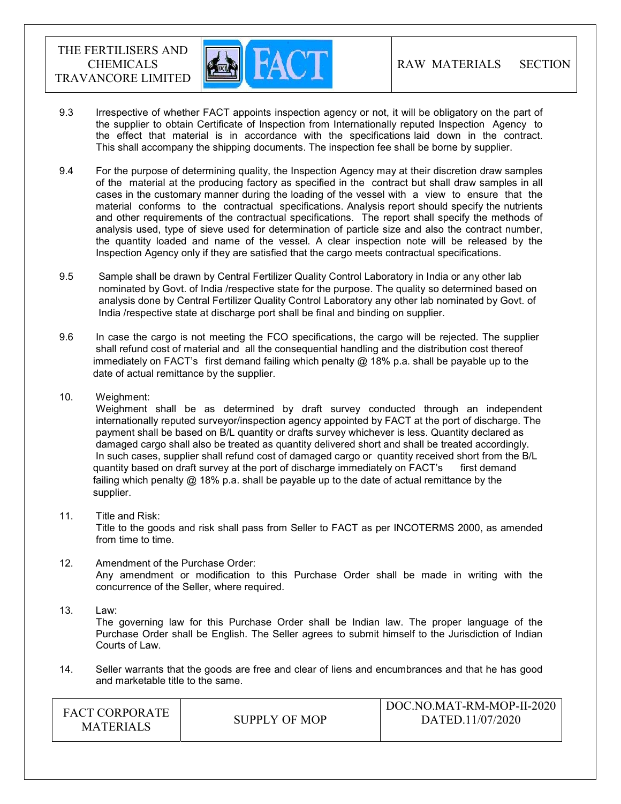

- 9.3 Irrespective of whether FACT appoints inspection agency or not, it will be obligatory on the part of the supplier to obtain Certificate of Inspection from Internationally reputed Inspection Agency to the effect that material is in accordance with the specifications laid down in the contract. This shall accompany the shipping documents. The inspection fee shall be borne by supplier.
- 9.4 For the purpose of determining quality, the Inspection Agency may at their discretion draw samples of the material at the producing factory as specified in the contract but shall draw samples in all cases in the customary manner during the loading of the vessel with a view to ensure that the material conforms to the contractual specifications. Analysis report should specify the nutrients and other requirements of the contractual specifications. The report shall specify the methods of analysis used, type of sieve used for determination of particle size and also the contract number, the quantity loaded and name of the vessel. A clear inspection note will be released by the Inspection Agency only if they are satisfied that the cargo meets contractual specifications.
- 9.5 Sample shall be drawn by Central Fertilizer Quality Control Laboratory in India or any other lab nominated by Govt. of India /respective state for the purpose. The quality so determined based on analysis done by Central Fertilizer Quality Control Laboratory any other lab nominated by Govt. of India /respective state at discharge port shall be final and binding on supplier.
- 9.6 In case the cargo is not meeting the FCO specifications, the cargo will be rejected. The supplier shall refund cost of material and all the consequential handling and the distribution cost thereof immediately on FACT's first demand failing which penalty  $@$  18% p.a. shall be payable up to the date of actual remittance by the supplier.
- 10. Weighment:

 Weighment shall be as determined by draft survey conducted through an independent internationally reputed surveyor/inspection agency appointed by FACT at the port of discharge. The payment shall be based on B/L quantity or drafts survey whichever is less. Quantity declared as damaged cargo shall also be treated as quantity delivered short and shall be treated accordingly. In such cases, supplier shall refund cost of damaged cargo or quantity received short from the B/L quantity based on draft survey at the port of discharge immediately on FACT's first demand failing which penalty @ 18% p.a. shall be payable up to the date of actual remittance by the supplier.

11. Title and Risk:

Title to the goods and risk shall pass from Seller to FACT as per INCOTERMS 2000, as amended from time to time.

- 12. Amendment of the Purchase Order: Any amendment or modification to this Purchase Order shall be made in writing with the concurrence of the Seller, where required.
- 13. Law:

The governing law for this Purchase Order shall be Indian law. The proper language of the Purchase Order shall be English. The Seller agrees to submit himself to the Jurisdiction of Indian Courts of Law.

14. Seller warrants that the goods are free and clear of liens and encumbrances and that he has good and marketable title to the same.

| <b>FACT CORPORATE</b><br><b>MATERIALS</b> | SUPPLY OF MOP | DOC.NO.MAT-RM-MOP-II-2020<br>DATED.11/07/2020 |
|-------------------------------------------|---------------|-----------------------------------------------|
|-------------------------------------------|---------------|-----------------------------------------------|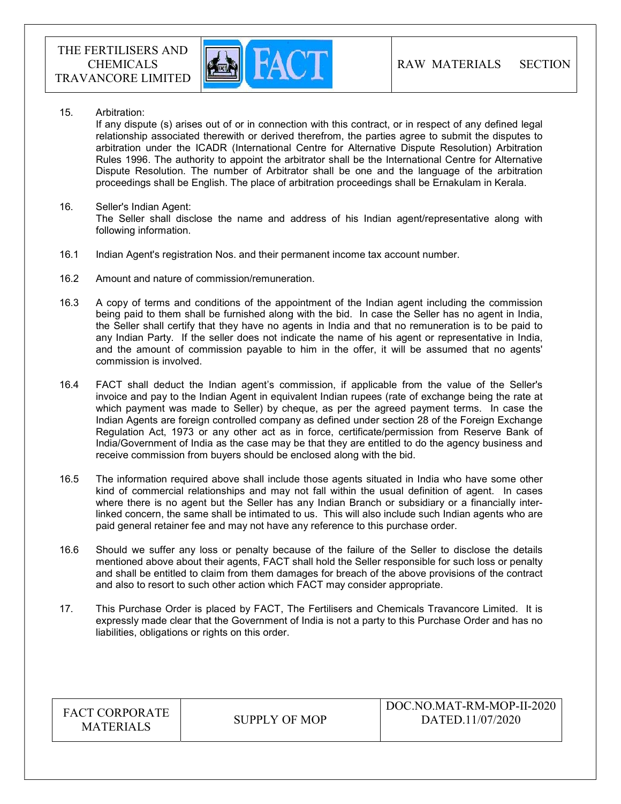

15. Arbitration:

If any dispute (s) arises out of or in connection with this contract, or in respect of any defined legal relationship associated therewith or derived therefrom, the parties agree to submit the disputes to arbitration under the ICADR (International Centre for Alternative Dispute Resolution) Arbitration Rules 1996. The authority to appoint the arbitrator shall be the International Centre for Alternative Dispute Resolution. The number of Arbitrator shall be one and the language of the arbitration proceedings shall be English. The place of arbitration proceedings shall be Ernakulam in Kerala.

- 16. Seller's Indian Agent: The Seller shall disclose the name and address of his Indian agent/representative along with following information.
- 16.1 Indian Agent's registration Nos. and their permanent income tax account number.
- 16.2 Amount and nature of commission/remuneration.
- 16.3 A copy of terms and conditions of the appointment of the Indian agent including the commission being paid to them shall be furnished along with the bid. In case the Seller has no agent in India, the Seller shall certify that they have no agents in India and that no remuneration is to be paid to any Indian Party. If the seller does not indicate the name of his agent or representative in India, and the amount of commission payable to him in the offer, it will be assumed that no agents' commission is involved.
- 16.4 FACT shall deduct the Indian agent's commission, if applicable from the value of the Seller's invoice and pay to the Indian Agent in equivalent Indian rupees (rate of exchange being the rate at which payment was made to Seller) by cheque, as per the agreed payment terms. In case the Indian Agents are foreign controlled company as defined under section 28 of the Foreign Exchange Regulation Act, 1973 or any other act as in force, certificate/permission from Reserve Bank of India/Government of India as the case may be that they are entitled to do the agency business and receive commission from buyers should be enclosed along with the bid.
- 16.5 The information required above shall include those agents situated in India who have some other kind of commercial relationships and may not fall within the usual definition of agent. In cases where there is no agent but the Seller has any Indian Branch or subsidiary or a financially interlinked concern, the same shall be intimated to us. This will also include such Indian agents who are paid general retainer fee and may not have any reference to this purchase order.
- 16.6 Should we suffer any loss or penalty because of the failure of the Seller to disclose the details mentioned above about their agents, FACT shall hold the Seller responsible for such loss or penalty and shall be entitled to claim from them damages for breach of the above provisions of the contract and also to resort to such other action which FACT may consider appropriate.
- 17. This Purchase Order is placed by FACT, The Fertilisers and Chemicals Travancore Limited. It is expressly made clear that the Government of India is not a party to this Purchase Order and has no liabilities, obligations or rights on this order.

| <b>FACT CORPORATE</b><br><b>MATERIALS</b> | SUPPLY OF MOP | DOC.NO.MAT-RM-MOP-II-2020<br>DATED.11/07/2020 |
|-------------------------------------------|---------------|-----------------------------------------------|
|-------------------------------------------|---------------|-----------------------------------------------|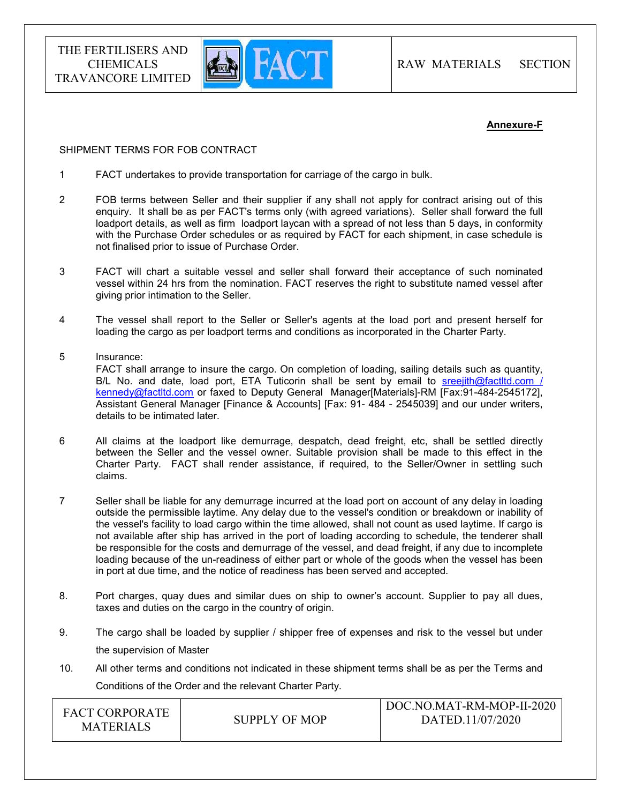

#### Annexure-F

#### SHIPMENT TERMS FOR FOB CONTRACT

- 1 FACT undertakes to provide transportation for carriage of the cargo in bulk.
- 2 FOB terms between Seller and their supplier if any shall not apply for contract arising out of this enquiry. It shall be as per FACT's terms only (with agreed variations). Seller shall forward the full loadport details, as well as firm loadport laycan with a spread of not less than 5 days, in conformity with the Purchase Order schedules or as required by FACT for each shipment, in case schedule is not finalised prior to issue of Purchase Order.
- 3 FACT will chart a suitable vessel and seller shall forward their acceptance of such nominated vessel within 24 hrs from the nomination. FACT reserves the right to substitute named vessel after giving prior intimation to the Seller.
- 4 The vessel shall report to the Seller or Seller's agents at the load port and present herself for loading the cargo as per loadport terms and conditions as incorporated in the Charter Party.
- 5 Insurance:

 FACT shall arrange to insure the cargo. On completion of loading, sailing details such as quantity, B/L No. and date, load port, ETA Tuticorin shall be sent by email to sreejith@factltd.com / kennedy@factltd.com or faxed to Deputy General Manager[Materials]-RM [Fax:91-484-2545172], Assistant General Manager [Finance & Accounts] [Fax: 91- 484 - 2545039] and our under writers, details to be intimated later.

- 6 All claims at the loadport like demurrage, despatch, dead freight, etc, shall be settled directly between the Seller and the vessel owner. Suitable provision shall be made to this effect in the Charter Party. FACT shall render assistance, if required, to the Seller/Owner in settling such claims.
- 7 Seller shall be liable for any demurrage incurred at the load port on account of any delay in loading outside the permissible laytime. Any delay due to the vessel's condition or breakdown or inability of the vessel's facility to load cargo within the time allowed, shall not count as used laytime. If cargo is not available after ship has arrived in the port of loading according to schedule, the tenderer shall be responsible for the costs and demurrage of the vessel, and dead freight, if any due to incomplete loading because of the un-readiness of either part or whole of the goods when the vessel has been in port at due time, and the notice of readiness has been served and accepted.
- 8. Port charges, quay dues and similar dues on ship to owner's account. Supplier to pay all dues, taxes and duties on the cargo in the country of origin.
- 9. The cargo shall be loaded by supplier / shipper free of expenses and risk to the vessel but under the supervision of Master
- 10. All other terms and conditions not indicated in these shipment terms shall be as per the Terms and Conditions of the Order and the relevant Charter Party.

| <b>FACT CORPORATE</b><br><b>MATERIALS</b> | SUPPLY OF MOP | DOC.NO.MAT-RM-MOP-II-2020<br>DATED.11/07/2020 |
|-------------------------------------------|---------------|-----------------------------------------------|
|                                           |               |                                               |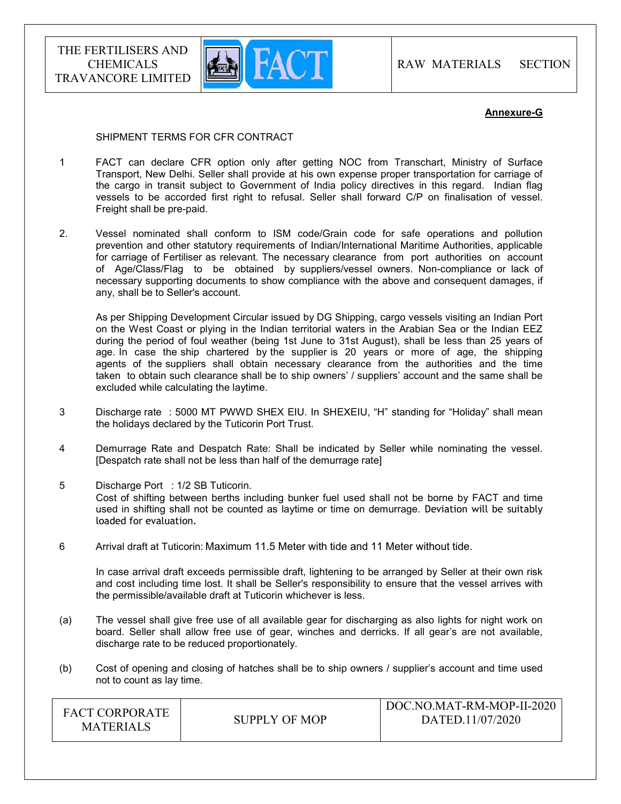

#### Annexure-G

#### SHIPMENT TERMS FOR CFR CONTRACT

- 1 FACT can declare CFR option only after getting NOC from Transchart, Ministry of Surface Transport, New Delhi. Seller shall provide at his own expense proper transportation for carriage of the cargo in transit subject to Government of India policy directives in this regard. Indian flag vessels to be accorded first right to refusal. Seller shall forward C/P on finalisation of vessel. Freight shall be pre-paid.
- 2. Vessel nominated shall conform to ISM code/Grain code for safe operations and pollution prevention and other statutory requirements of Indian/International Maritime Authorities, applicable for carriage of Fertiliser as relevant. The necessary clearance from port authorities on account of Age/Class/Flag to be obtained by suppliers/vessel owners. Non-compliance or lack of necessary supporting documents to show compliance with the above and consequent damages, if any, shall be to Seller's account.

 As per Shipping Development Circular issued by DG Shipping, cargo vessels visiting an Indian Port on the West Coast or plying in the Indian territorial waters in the Arabian Sea or the Indian EEZ during the period of foul weather (being 1st June to 31st August), shall be less than 25 years of age. In case the ship chartered by the supplier is 20 years or more of age, the shipping agents of the suppliers shall obtain necessary clearance from the authorities and the time taken to obtain such clearance shall be to ship owners' / suppliers' account and the same shall be excluded while calculating the laytime.

- 3 Discharge rate : 5000 MT PWWD SHEX EIU. In SHEXEIU, "H" standing for "Holiday" shall mean the holidays declared by the Tuticorin Port Trust.
- 4 Demurrage Rate and Despatch Rate: Shall be indicated by Seller while nominating the vessel. [Despatch rate shall not be less than half of the demurrage rate]
- 5 Discharge Port : 1/2 SB Tuticorin. Cost of shifting between berths including bunker fuel used shall not be borne by FACT and time used in shifting shall not be counted as laytime or time on demurrage. Deviation will be suitably loaded for evaluation.
- 6 Arrival draft at Tuticorin: Maximum 11.5 Meter with tide and 11 Meter without tide.

 In case arrival draft exceeds permissible draft, lightening to be arranged by Seller at their own risk and cost including time lost. It shall be Seller's responsibility to ensure that the vessel arrives with the permissible/available draft at Tuticorin whichever is less.

- (a) The vessel shall give free use of all available gear for discharging as also lights for night work on board. Seller shall allow free use of gear, winches and derricks. If all gear's are not available, discharge rate to be reduced proportionately.
- (b) Cost of opening and closing of hatches shall be to ship owners / supplier's account and time used not to count as lay time.

| <b>FACT CORPORATE</b><br><b>MATERIALS</b> | SUPPLY OF MOP | DOC.NO.MAT-RM-MOP-II-2020<br>DATED.11/07/2020 |
|-------------------------------------------|---------------|-----------------------------------------------|
|-------------------------------------------|---------------|-----------------------------------------------|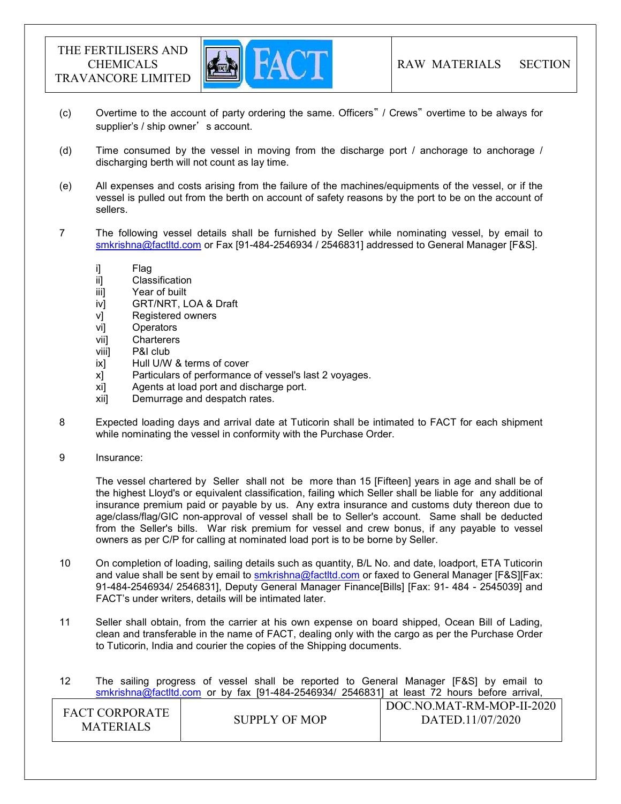

- (c) Overtime to the account of party ordering the same. Officers" / Crews" overtime to be always for supplier's / ship owner's account.
- (d) Time consumed by the vessel in moving from the discharge port / anchorage to anchorage / discharging berth will not count as lay time.
- (e) All expenses and costs arising from the failure of the machines/equipments of the vessel, or if the vessel is pulled out from the berth on account of safety reasons by the port to be on the account of sellers.
- 7 The following vessel details shall be furnished by Seller while nominating vessel, by email to smkrishna@factltd.com or Fax [91-484-2546934 / 2546831] addressed to General Manager [F&S].
	- i] Flag
	- ii] Classification
	- iii] Year of built
	- iv] GRT/NRT, LOA & Draft
	- v] Registered owners
	- vi] Operators
	- vii] Charterers
	- viii] P&I club
	- ix] Hull U/W & terms of cover
	- x] Particulars of performance of vessel's last 2 voyages.
	- xi] Agents at load port and discharge port.
	- xii] Demurrage and despatch rates.
- 8 Expected loading days and arrival date at Tuticorin shall be intimated to FACT for each shipment while nominating the vessel in conformity with the Purchase Order.
- 9 Insurance:

 The vessel chartered by Seller shall not be more than 15 [Fifteen] years in age and shall be of the highest Lloyd's or equivalent classification, failing which Seller shall be liable for any additional insurance premium paid or payable by us. Any extra insurance and customs duty thereon due to age/class/flag/GIC non-approval of vessel shall be to Seller's account. Same shall be deducted from the Seller's bills. War risk premium for vessel and crew bonus, if any payable to vessel owners as per C/P for calling at nominated load port is to be borne by Seller.

- 10 On completion of loading, sailing details such as quantity, B/L No. and date, loadport, ETA Tuticorin and value shall be sent by email to **smkrishna@factltd.com** or faxed to General Manager [F&S][Fax: 91-484-2546934/ 2546831], Deputy General Manager Finance[Bills] [Fax: 91- 484 - 2545039] and FACT's under writers, details will be intimated later.
- 11 Seller shall obtain, from the carrier at his own expense on board shipped, Ocean Bill of Lading, clean and transferable in the name of FACT, dealing only with the cargo as per the Purchase Order to Tuticorin, India and courier the copies of the Shipping documents.

12 The sailing progress of vessel shall be reported to General Manager [F&S] by email to smkrishna@factltd.com or by fax [91-484-2546934/ 2546831] at least 72 hours before arrival,

| <b>FACT CORPORATE</b><br>SUPPLY OF MOP<br><b>MATERIALS</b> | DOC.NO.MAT-RM-MOP-II-2020<br>DATED.11/07/2020 |
|------------------------------------------------------------|-----------------------------------------------|
|------------------------------------------------------------|-----------------------------------------------|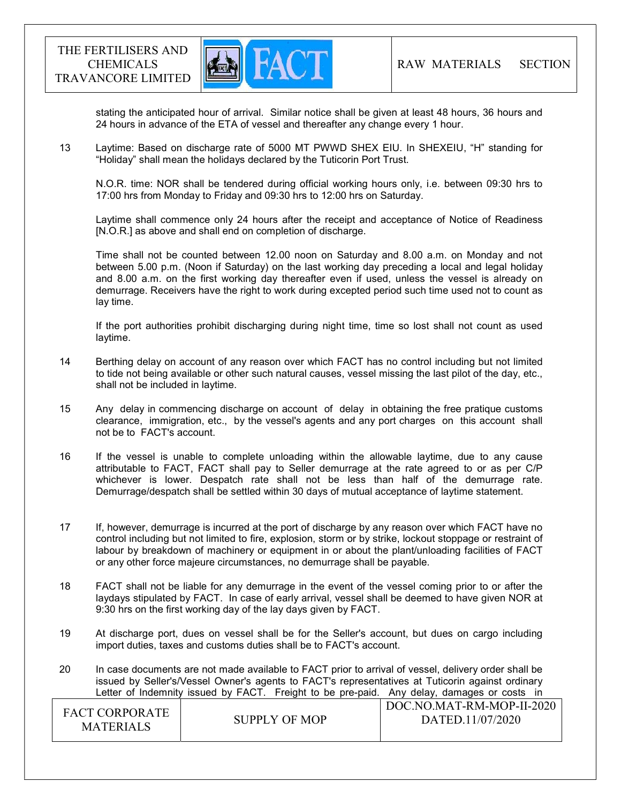

stating the anticipated hour of arrival. Similar notice shall be given at least 48 hours, 36 hours and 24 hours in advance of the ETA of vessel and thereafter any change every 1 hour.

13 Laytime: Based on discharge rate of 5000 MT PWWD SHEX EIU. In SHEXEIU, "H" standing for "Holiday" shall mean the holidays declared by the Tuticorin Port Trust.

 N.O.R. time: NOR shall be tendered during official working hours only, i.e. between 09:30 hrs to 17:00 hrs from Monday to Friday and 09:30 hrs to 12:00 hrs on Saturday.

 Laytime shall commence only 24 hours after the receipt and acceptance of Notice of Readiness [N.O.R.] as above and shall end on completion of discharge.

 Time shall not be counted between 12.00 noon on Saturday and 8.00 a.m. on Monday and not between 5.00 p.m. (Noon if Saturday) on the last working day preceding a local and legal holiday and 8.00 a.m. on the first working day thereafter even if used, unless the vessel is already on demurrage. Receivers have the right to work during excepted period such time used not to count as lay time.

 If the port authorities prohibit discharging during night time, time so lost shall not count as used laytime.

- 14 Berthing delay on account of any reason over which FACT has no control including but not limited to tide not being available or other such natural causes, vessel missing the last pilot of the day, etc., shall not be included in laytime.
- 15 Any delay in commencing discharge on account of delay in obtaining the free pratique customs clearance, immigration, etc., by the vessel's agents and any port charges on this account shall not be to FACT's account.
- 16 If the vessel is unable to complete unloading within the allowable laytime, due to any cause attributable to FACT, FACT shall pay to Seller demurrage at the rate agreed to or as per C/P whichever is lower. Despatch rate shall not be less than half of the demurrage rate. Demurrage/despatch shall be settled within 30 days of mutual acceptance of laytime statement.
- 17 If, however, demurrage is incurred at the port of discharge by any reason over which FACT have no control including but not limited to fire, explosion, storm or by strike, lockout stoppage or restraint of labour by breakdown of machinery or equipment in or about the plant/unloading facilities of FACT or any other force majeure circumstances, no demurrage shall be payable.
- 18 FACT shall not be liable for any demurrage in the event of the vessel coming prior to or after the laydays stipulated by FACT. In case of early arrival, vessel shall be deemed to have given NOR at 9:30 hrs on the first working day of the lay days given by FACT.
- 19 At discharge port, dues on vessel shall be for the Seller's account, but dues on cargo including import duties, taxes and customs duties shall be to FACT's account.
- 20 In case documents are not made available to FACT prior to arrival of vessel, delivery order shall be issued by Seller's/Vessel Owner's agents to FACT's representatives at Tuticorin against ordinary Letter of Indemnity issued by FACT. Freight to be pre-paid. Any delay, damages or costs in

| FACT CORPORATE<br><b>MATERIALS</b> | SUPPLY OF MOP | DOC.NO.MAT-RM-MOP-II-2020<br>DATED.11/07/2020 |
|------------------------------------|---------------|-----------------------------------------------|
|------------------------------------|---------------|-----------------------------------------------|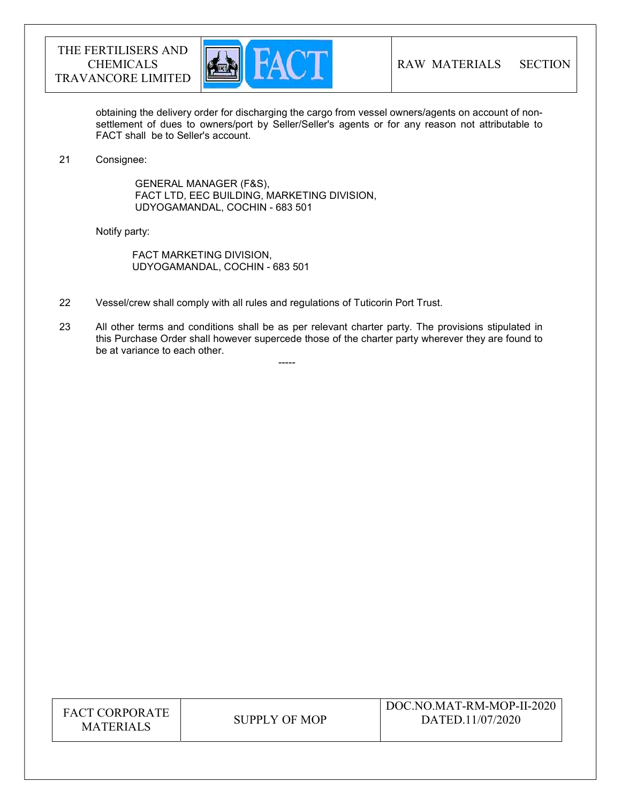



obtaining the delivery order for discharging the cargo from vessel owners/agents on account of nonsettlement of dues to owners/port by Seller/Seller's agents or for any reason not attributable to FACT shall be to Seller's account.

#### 21 Consignee:

 GENERAL MANAGER (F&S), FACT LTD, EEC BUILDING, MARKETING DIVISION, UDYOGAMANDAL, COCHIN - 683 501

Notify party:

 FACT MARKETING DIVISION, UDYOGAMANDAL, COCHIN - 683 501

-----

- 22 Vessel/crew shall comply with all rules and regulations of Tuticorin Port Trust.
- 23 All other terms and conditions shall be as per relevant charter party. The provisions stipulated in this Purchase Order shall however supercede those of the charter party wherever they are found to be at variance to each other.

| <b>FACT CORPORATE</b> |
|-----------------------|
| <b>MATERIALS</b>      |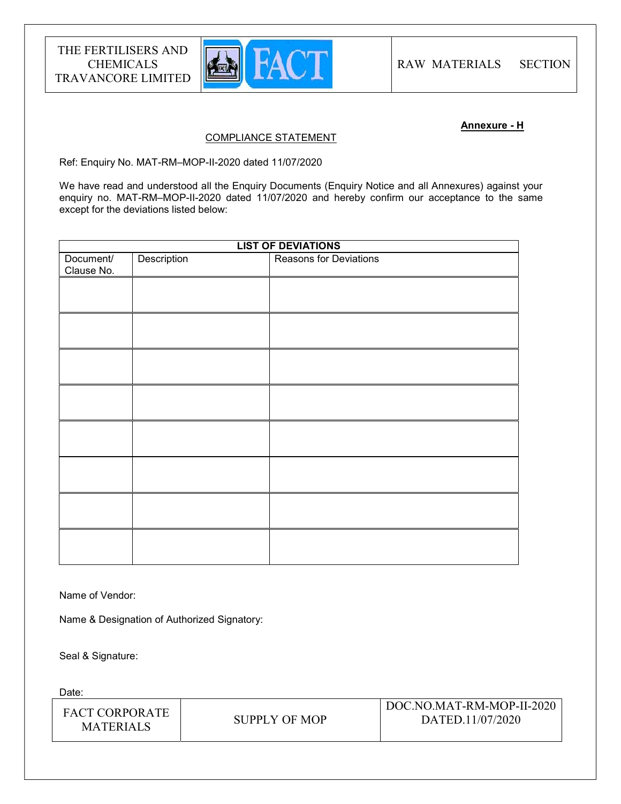

#### Annexure - H

#### COMPLIANCE STATEMENT

Ref: Enquiry No. MAT-RM–MOP-II-2020 dated 11/07/2020

We have read and understood all the Enquiry Documents (Enquiry Notice and all Annexures) against your enquiry no. MAT-RM-MOP-II-2020 dated 11/07/2020 and hereby confirm our acceptance to the same except for the deviations listed below:

| <b>LIST OF DEVIATIONS</b> |             |                               |
|---------------------------|-------------|-------------------------------|
| Document/<br>Clause No.   | Description | <b>Reasons for Deviations</b> |
|                           |             |                               |
|                           |             |                               |
|                           |             |                               |
|                           |             |                               |
|                           |             |                               |
|                           |             |                               |
|                           |             |                               |
|                           |             |                               |
|                           |             |                               |

Name of Vendor:

Name & Designation of Authorized Signatory:

Seal & Signature:

Date:

| <b>FACT CORPORATE</b><br><b>MATERIALS</b> | SUPPLY OF MOP | DOC.NO.MAT-RM-MOP-II-2020<br>DATED.11/07/2020 |
|-------------------------------------------|---------------|-----------------------------------------------|
|-------------------------------------------|---------------|-----------------------------------------------|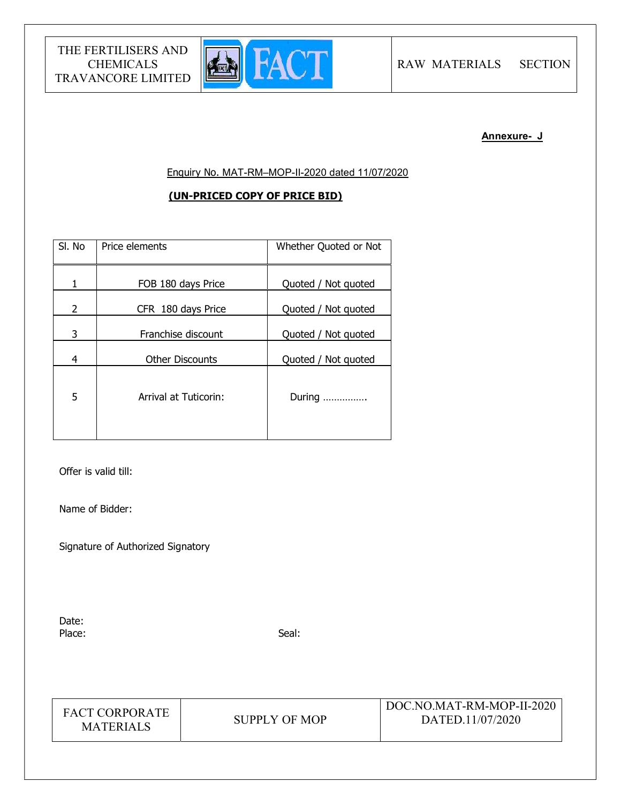

#### Annexure- J

Enquiry No. MAT-RM–MOP-II-2020 dated 11/07/2020

# (UN-PRICED COPY OF PRICE BID)

| SI. No                | Price elements         | Whether Quoted or Not |
|-----------------------|------------------------|-----------------------|
| 1                     | FOB 180 days Price     | Quoted / Not quoted   |
| $\mathbf{2}^{\prime}$ | CFR 180 days Price     | Quoted / Not quoted   |
| 3                     | Franchise discount     | Quoted / Not quoted   |
| 4                     | <b>Other Discounts</b> | Quoted / Not quoted   |
| 5                     | Arrival at Tuticorin:  | During                |

Offer is valid till:

Name of Bidder:

Signature of Authorized Signatory

Date: Place: Seal: Seal: Seal: Seal: Seal: Seal: Seal: Seal: Seal: Seal: Seal: Seal: Seal: Seal: Seal: Seal: Seal: Seal: Seal: Seal: Seal: Seal: Seal: Seal: Seal: Seal: Seal: Seal: Seal: Seal: Seal: Seal: Seal: Seal: Seal: Seal:

FACT CORPORATE MATERIALS SUPPLY OF MOP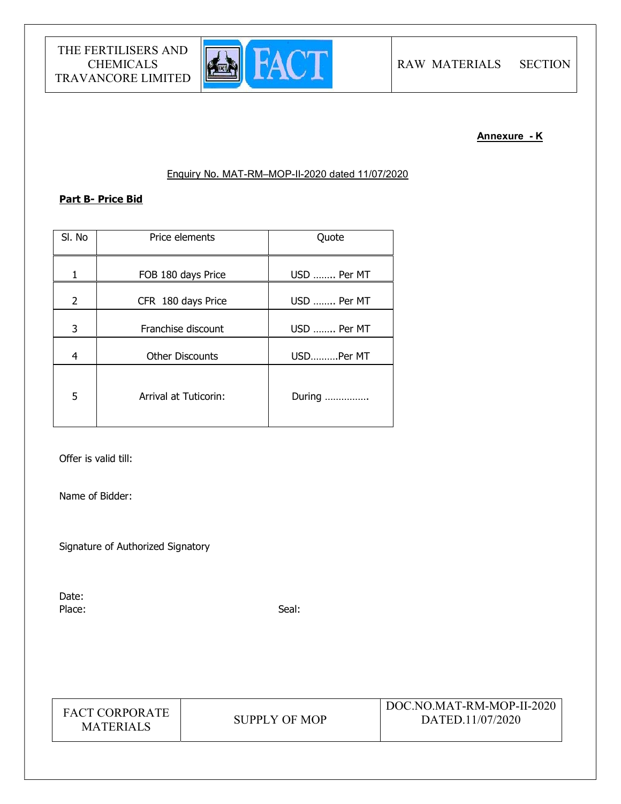

# Annexure - K

## Enquiry No. MAT-RM–MOP-II-2020 dated 11/07/2020

# Part B- Price Bid

| SI. No         | Price elements               | Quote       |
|----------------|------------------------------|-------------|
| 1              | FOB 180 days Price           | USD  Per MT |
| $\overline{2}$ | CFR 180 days Price           | USD  Per MT |
| 3              | Franchise discount           | USD  Per MT |
| 4              | <b>Other Discounts</b>       | USDPer MT   |
| 5              | <b>Arrival at Tuticorin:</b> | During      |

Offer is valid till:

Name of Bidder:

Signature of Authorized Signatory

Date: Place: Seal: Seal: Seal: Seal: Seal: Seal: Seal: Seal: Seal: Seal: Seal: Seal: Seal: Seal: Seal: Seal: Seal: Seal: Seal: Seal: Seal: Seal: Seal: Seal: Seal: Seal: Seal: Seal: Seal: Seal: Seal: Seal: Seal: Seal: Seal: Seal:

| <b>FACT CORPORATE</b> |
|-----------------------|
| <b>MATERIALS</b>      |

SUPPLY OF MOP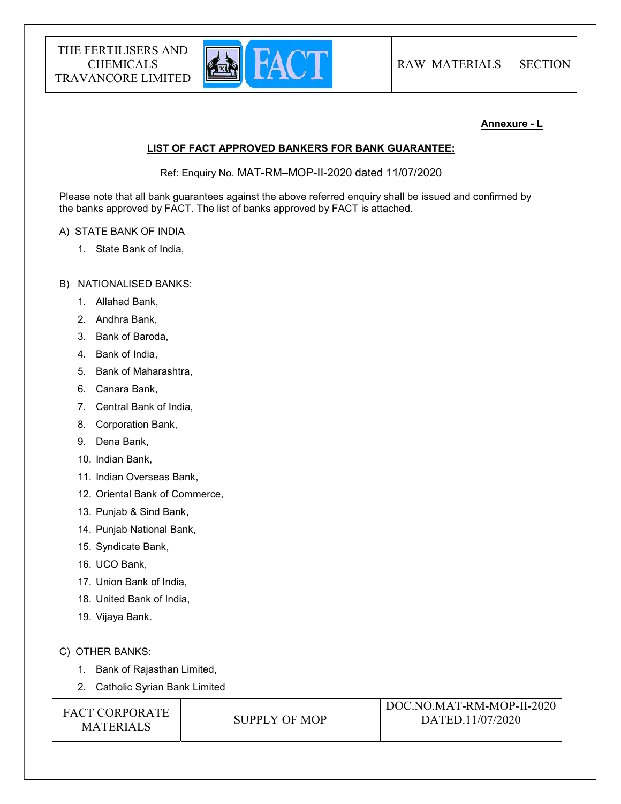

### Annexure - L

#### LIST OF FACT APPROVED BANKERS FOR BANK GUARANTEE:

Ref: Enquiry No. MAT-RM–MOP-II-2020 dated 11/07/2020

Please note that all bank guarantees against the above referred enquiry shall be issued and confirmed by the banks approved by FACT. The list of banks approved by FACT is attached.

#### A) STATE BANK OF INDIA

1. State Bank of India,

#### B) NATIONALISED BANKS:

- 1. Allahad Bank,
- 2. Andhra Bank,
- 3. Bank of Baroda,
- 4. Bank of India,
- 5. Bank of Maharashtra,
- 6. Canara Bank,
- 7. Central Bank of India,
- 8. Corporation Bank,
- 9. Dena Bank,
- 10. Indian Bank,
- 11. Indian Overseas Bank,
- 12. Oriental Bank of Commerce,
- 13. Punjab & Sind Bank,
- 14. Punjab National Bank,
- 15. Syndicate Bank,
- 16. UCO Bank,
- 17. Union Bank of India,
- 18. United Bank of India,
- 19. Vijaya Bank.

## C) OTHER BANKS:

- 1. Bank of Rajasthan Limited,
- 2. Catholic Syrian Bank Limited

FACT CORPORATE ET CONFONATE SUPPLY OF MOP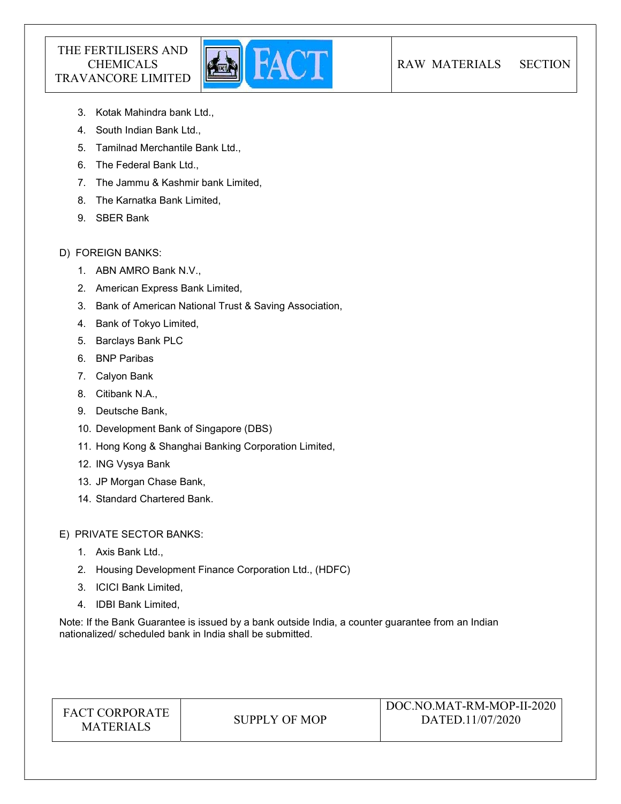

- 3. Kotak Mahindra bank Ltd.,
- 4. South Indian Bank Ltd.,
- 5. Tamilnad Merchantile Bank Ltd.,
- 6. The Federal Bank Ltd.,
- 7. The Jammu & Kashmir bank Limited,
- 8. The Karnatka Bank Limited,
- 9. SBER Bank

# D) FOREIGN BANKS:

- 1. ABN AMRO Bank N.V.,
- 2. American Express Bank Limited,
- 3. Bank of American National Trust & Saving Association,
- 4. Bank of Tokyo Limited,
- 5. Barclays Bank PLC
- 6. BNP Paribas
- 7. Calyon Bank
- 8. Citibank N.A.,
- 9. Deutsche Bank,
- 10. Development Bank of Singapore (DBS)
- 11. Hong Kong & Shanghai Banking Corporation Limited,
- 12. ING Vysya Bank
- 13. JP Morgan Chase Bank,
- 14. Standard Chartered Bank.

E) PRIVATE SECTOR BANKS:

- 1. Axis Bank Ltd.,
- 2. Housing Development Finance Corporation Ltd., (HDFC)
- 3. ICICI Bank Limited,
- 4. IDBI Bank Limited,

Note: If the Bank Guarantee is issued by a bank outside India, a counter guarantee from an Indian nationalized/ scheduled bank in India shall be submitted.

|  | <b>FACT CORPORATE</b><br><b>MATERIALS</b> | SUPPLY OF MOP | DOC.NO.MAT-RM-MOP-II-2020<br>DATED.11/07/2020 |
|--|-------------------------------------------|---------------|-----------------------------------------------|
|--|-------------------------------------------|---------------|-----------------------------------------------|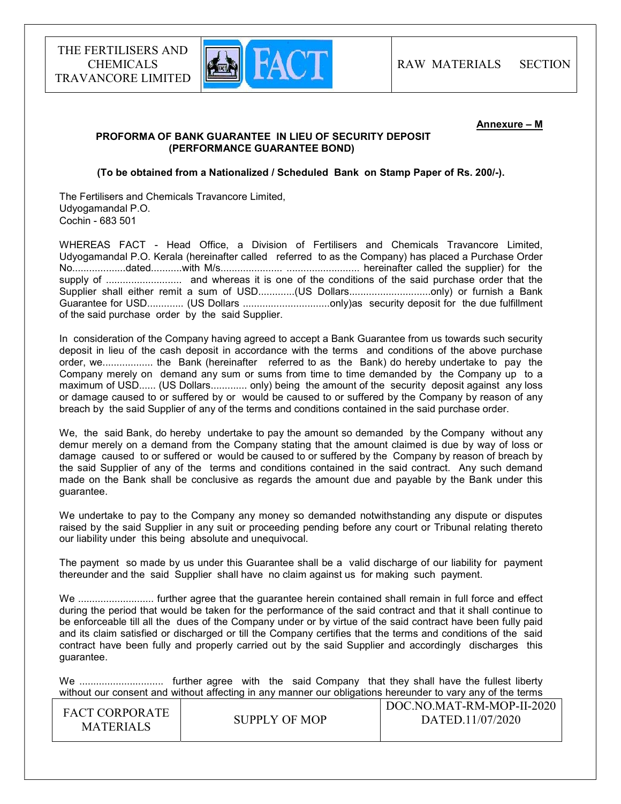

#### Annexure – M

#### PROFORMA OF BANK GUARANTEE IN LIEU OF SECURITY DEPOSIT (PERFORMANCE GUARANTEE BOND)

#### (To be obtained from a Nationalized / Scheduled Bank on Stamp Paper of Rs. 200/-).

The Fertilisers and Chemicals Travancore Limited, Udyogamandal P.O. Cochin - 683 501

WHEREAS FACT - Head Office, a Division of Fertilisers and Chemicals Travancore Limited, Udyogamandal P.O. Kerala (hereinafter called referred to as the Company) has placed a Purchase Order No...................dated...........with M/s...................... .......................... hereinafter called the supplier) for the supply of ........................... and whereas it is one of the conditions of the said purchase order that the Supplier shall either remit a sum of USD.............(US Dollars................................only) or furnish a Bank Guarantee for USD............. (US Dollars ...............................only)as security deposit for the due fulfillment of the said purchase order by the said Supplier.

In consideration of the Company having agreed to accept a Bank Guarantee from us towards such security deposit in lieu of the cash deposit in accordance with the terms and conditions of the above purchase order, we.................. the Bank (hereinafter referred to as the Bank) do hereby undertake to pay the Company merely on demand any sum or sums from time to time demanded by the Company up to a maximum of USD...... (US Dollars............. only) being the amount of the security deposit against any loss or damage caused to or suffered by or would be caused to or suffered by the Company by reason of any breach by the said Supplier of any of the terms and conditions contained in the said purchase order.

We, the said Bank, do hereby undertake to pay the amount so demanded by the Company without any demur merely on a demand from the Company stating that the amount claimed is due by way of loss or damage caused to or suffered or would be caused to or suffered by the Company by reason of breach by the said Supplier of any of the terms and conditions contained in the said contract. Any such demand made on the Bank shall be conclusive as regards the amount due and payable by the Bank under this guarantee.

We undertake to pay to the Company any money so demanded notwithstanding any dispute or disputes raised by the said Supplier in any suit or proceeding pending before any court or Tribunal relating thereto our liability under this being absolute and unequivocal.

The payment so made by us under this Guarantee shall be a valid discharge of our liability for payment thereunder and the said Supplier shall have no claim against us for making such payment.

We ........................... further agree that the guarantee herein contained shall remain in full force and effect during the period that would be taken for the performance of the said contract and that it shall continue to be enforceable till all the dues of the Company under or by virtue of the said contract have been fully paid and its claim satisfied or discharged or till the Company certifies that the terms and conditions of the said contract have been fully and properly carried out by the said Supplier and accordingly discharges this guarantee.

We .............................. further agree with the said Company that they shall have the fullest liberty without our consent and without affecting in any manner our obligations hereunder to vary any of the terms

| <b>FACT CORPORATE</b><br>SUPPLY OF MOP<br><b>MATERIALS</b> | DOC.NO.MAT-RM-MOP-II-2020<br>DATED.11/07/2020 |
|------------------------------------------------------------|-----------------------------------------------|
|------------------------------------------------------------|-----------------------------------------------|